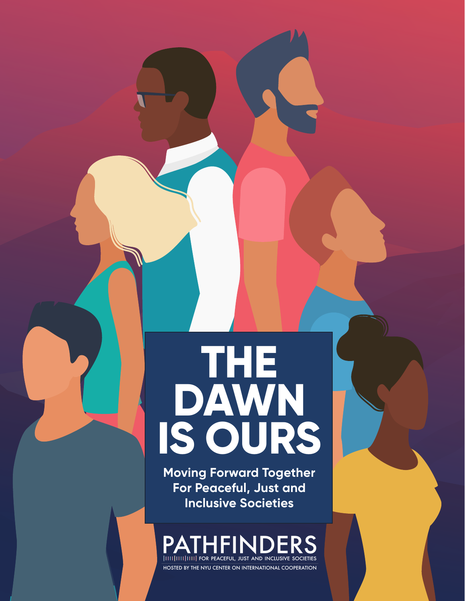# **THE DAWN IS OURS**

**Moving Forward Together For Peaceful, Just and Inclusive Societies**

PATHFINI **ITTIIIIIIIIIIIIIIII FOR PEACEFUL, JUST AND INCLUSIVE SOCIETIES** 

HOSTED BY THE NYU CENTER ON INTERNATIONAL COOPERATION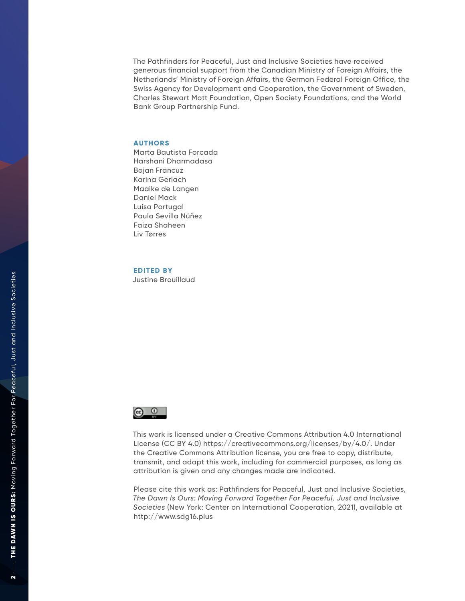The Pathfinders for Peaceful, Just and Inclusive Societies have received generous financial support from the Canadian Ministry of Foreign Affairs, the Netherlands' Ministry of Foreign Affairs, the German Federal Foreign Office, the Swiss Agency for Development and Cooperation, the Government of Sweden, Charles Stewart Mott Foundation, Open Society Foundations, and the World Bank Group Partnership Fund.

### **AUTHORS**

Marta Bautista Forcada Harshani Dharmadasa Bojan Francuz Karina Gerlach Maaike de Langen Daniel Mack Luisa Portugal Paula Sevilla Núñez Faiza Shaheen Liv Tørres

**EDITED BY**

Justine Brouillaud



This work is licensed under a Creative Commons Attribution 4.0 International License (CC BY 4.0) https://creativecommons.org/licenses/by/4.0/. Under the Creative Commons Attribution license, you are free to copy, distribute, transmit, and adapt this work, including for commercial purposes, as long as attribution is given and any changes made are indicated.

Please cite this work as: Pathfinders for Peaceful, Just and Inclusive Societies, *The Dawn Is Ours: Moving Forward Together For Peaceful, Just and Inclusive Societies* (New York: Center on International Cooperation, 2021), available at http://www.sdg16.plus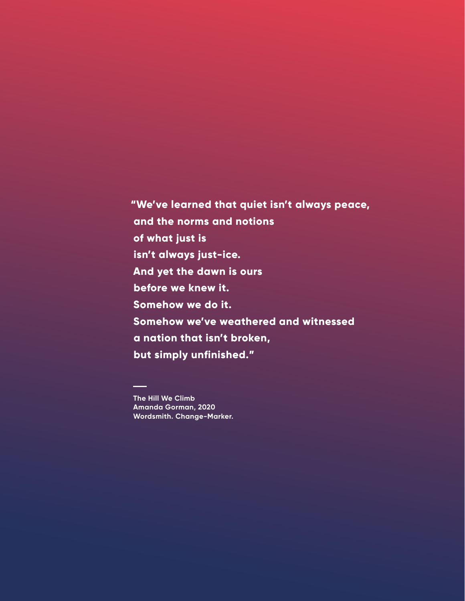**"We've learned that quiet isn't always peace, and the norms and notions of what just is isn't always just-ice. And yet the dawn is ours before we knew it. Somehow we do it. Somehow we've weathered and witnessed a nation that isn't broken, but simply unfinished."**

**The Hill We Climb [Amanda Gorman](https://www.theamandagorman.com/), 2020 Wordsmith. Change-Marker.**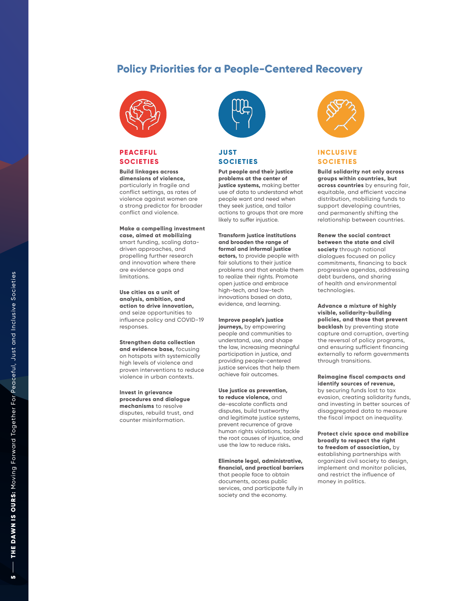### **Policy Priorities for a People-Centered Recovery**



### **PEACEFUL SOCIETIES**

### **Build linkages across dimensions of violence,**

particularly in fragile and conflict settings, as rates of violence against women are a strong predictor for broader conflict and violence.

**Make a compelling investment case, aimed at mobilizing**  smart funding, scaling datadriven approaches, and propelling further research and innovation where there are evidence gaps and limitations.

**Use cities as a unit of analysis, ambition, and action to drive innovation,**  and seize opportunities to influence policy and COVID-19 responses.

**Strengthen data collection and evidence base,** focusing on hotspots with systemically high levels of violence and proven interventions to reduce violence in urban contexts.

**Invest in grievance procedures and dialogue mechanisms** to resolve disputes, rebuild trust, and counter misinformation.



### **JUST SOCIETIES**

**Put people and their justice problems at the center of justice systems,** making better use of data to understand what people want and need when they seek justice, and tailor actions to groups that are more likely to suffer injustice.

**Transform justice institutions and broaden the range of formal and informal justice actors,** to provide people with fair solutions to their justice problems and that enable them to realize their rights. Promote open justice and embrace high-tech, and low-tech innovations based on data, evidence, and learning.

**Improve people's justice journeys,** by empowering people and communities to understand, use, and shape the law, increasing meaningful participation in justice, and providing people-centered justice services that help them achieve fair outcomes.

**Use justice as prevention, to reduce violence,** and de-escalate conflicts and disputes, build trustworthy and legitimate justice systems, prevent recurrence of grave human rights violations, tackle the root causes of injustice, and use the law to reduce risks **.**

**Eliminate legal, administrative, financial, and practical barriers**  that people face to obtain documents, access public services, and participate fully in society and the economy.



### **INCLUSIVE SOCIETIES**

**Build solidarity not only across groups within countries, but across countries** by ensuring fair, equitable, and efficient vaccine distribution, mobilizing funds to support developing countries, and permanently shifting the relationship between countries.

**Renew the social contract between the state and civil society** through national dialogues focused on policy commitments, financing to back progressive agendas, addressing debt burdens, and sharing of health and environmental technologies .

**Advance a mixture of highly visible, solidarity-building policies, and those that prevent backlash** by preventing state capture and corruption, averting the reversal of policy programs, and ensuring sufficient financing externally to reform governments through transitions.

**Reimagine fiscal compacts and identify sources of revenue,** by securing funds lost to tax evasion, creating solidarity funds, and investing in better sources of disaggregated data to measure the fiscal impact on inequality.

**Protect civic space and mobilize broadly to respect the right** establishing partnerships with organized civil society to design, implement and monitor policies, and restrict the influence of money in politics .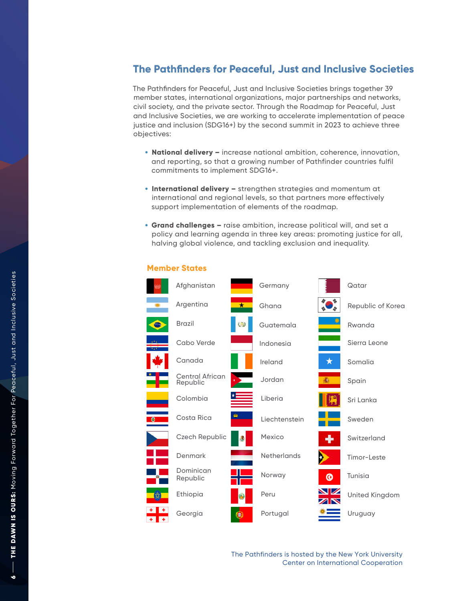### **The Pathfinders for Peaceful, Just and Inclusive Societies**

The Pathfinders for Peaceful, Just and Inclusive Societies brings together 39 member states, international organizations, major partnerships and networks, civil society, and the private sector. Through the Roadmap for Peaceful, Just and Inclusive Societies, we are working to accelerate implementation of peace justice and inclusion (SDG16+) by the second summit in 2023 to achieve three objectives:

- **National delivery –** increase national ambition, coherence, innovation, and reporting, so that a growing number of Pathfinder countries fulfil commitments to implement SDG16+.
- **International delivery –** strengthen strategies and momentum at international and regional levels, so that partners more effectively support implementation of elements of the roadmap.
- **Grand challenges –** raise ambition, increase political will, and set a policy and learning agenda in three key areas: promoting justice for all, halving global violence, and tackling exclusion and inequality.



### **Member States**

The Pathfinders is hosted by the New York University Center on International Cooperation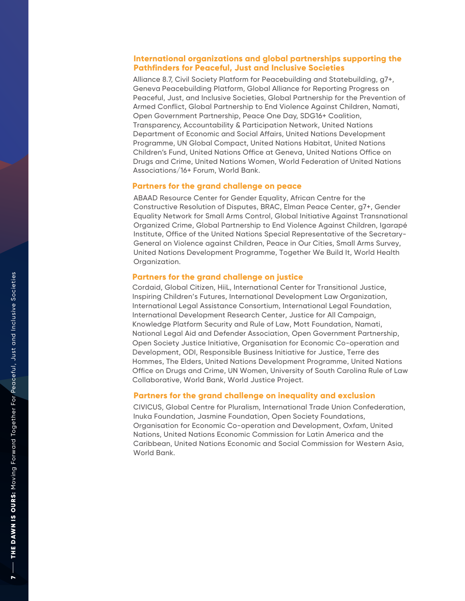### International organizations and global partnerships supporting the **P athfinders for Peaceful, Just and Inclusive Societies**

Alliance 8. 7, Civil Society Platform for Peacebuilding and Statebuilding, g7+, Geneva Peacebuilding Platform, Global Alliance for Reporting Progress on Peaceful, Just, and Inclusive Societies, Global Partnership for the Prevention of Armed Conflict, Global Partnership to E nd Violence Against Children, Namati, Open Government Partnership, Peace One Da y, SDG16+ Coalition, Transparenc y, Accountability & Participation Network, United Nations Department of Economic and Social Affairs, Un i ted Nations Development P rogramme, UN Global Compact, United Nations Habitat, United Nations Children ' s Fund, United Nations Office at Geneva, United Nations Office on Drugs and Crime, United Nations Women, World Federation of United Nations Associations/16+ Forum, World Bank.

### **Partners for the grand ch a llenge on peace**

ABAAD Resource Center for Gender Equality, African Centre for the Constructive Resolution of Disputes, BRAC, Elman Peace Center, g7+, Gender Equality Network for Small Arms Control, Global Initiative Against Transnational Organized Crime, Global Partnership to End Violence Against Children, Igarapé Institute, Office of the United Nations Special Representative of the Secretary-General on Violence against Children, Peace in Our Cities, Small Arms Survey, United Nations Development Programme, Together We Build It, World Health Organization.

### **Partners for the grand challenge on justice**

Cordaid, Global Citizen, HiiL, International Center for Transitional Justice, Inspiring Children's Futures, International Development Law Organization, International Legal Assistance Consortium, International Legal Foundation, International Development Research Center, Justice for All Campaign, Knowledge Platform Security and Rule of Law, Mott Foundation, Namati, National Legal Aid and Defender Association, Open Government Partnership, Open Society Justice Initiative, Organisation for Economic Co-operation and Development, ODI, Responsible Business Initiative for Justice, Terre des Hommes, The Elders, United Nations Development Programme, United Nations Office on Drugs and Crime, UN Women, University of South Carolina Rule of Law Collaborative, World Bank, World Justice Project.

### Partners for the grand challenge on inequality and exclusion

CIVICUS, Global Centre for Pluralism, International Trade Union Confederation, Inuka Foundation, Jasmine Foundation, Open Society Foundations, Organisation for Economic Co-operation and Development, Oxfam, United Nations, United Nations Economic Commission for Latin America and the Caribbean, United Nations Economic and Social Commission for Western Asia, World Bank.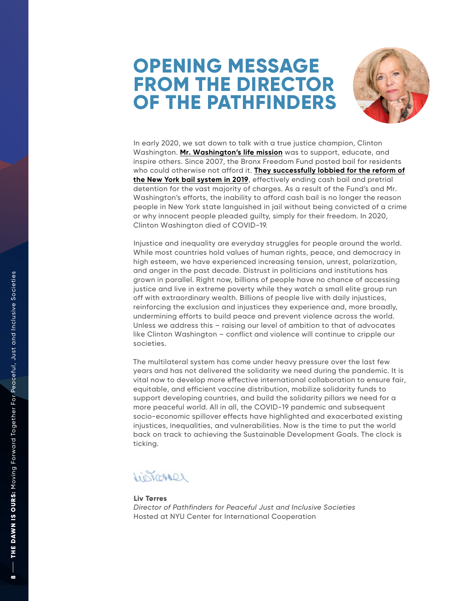## **OPENING MESSAGE FROM THE DIRECTOR OF THE PATHFINDERS**



In early 2020, we sat down to talk with a true justice champion, Clinton Washington. **Mr. Washington's life mission** was to support, educate, and<br>inspire others. Since 2007, the Bronx Freedom Fund posted bail for residents who could otherwise not afford it. **Th e y successfully lobbied for the reform of the New York bail system in 2019**[, effectively ending cash bail and pretrial](http://www.thebronxfreedomfund.org/)  detention for the vast majority of charges. As a result of the Fund ' s and Mr. Washington 's efforts, the inability to afford cash bail is no longer the reason people in New York state languished in jail without being convicted of a crime or why innocent people pleaded guilt y, simply for their freedom. In 2020, Clinton Washington died of COVID-1 9.

Injustice and inequality are everyday struggles for people around the world. While most countries hold values of human rights, peace, and democracy in high esteem, we have experienced increasing tension, unrest, polarization, and anger in the past decade. Distrust in politicians and institutions has grown in parallel. Right now, billions of people have no chance of accessing justice and live in extreme poverty while they watch a small elite group run off with extraordinary wealth. Billions of people live with daily injustices,<br>reinforcing the exclusion and injustices they experience and, more broadly, undermining efforts to build peace and prevent violence across the world. Unless we address this – raising our level of ambition to that of advocates<br>like Clinton Washington – conflict and violence will continue to cripple our<br>societies.

The multilateral system has come under heavy pressure over the last few years and has not delivered the solidarity we need during the pandemic. It is v ital now to develop more effective international collaboration to ensure fair, equitable, and efficient vaccine distribution, mobilize solidarity funds to<br>support developing countries, and build the solidarity pillars we need for a more peaceful world. All in all, the COVID-19 pandemic and subsequent socio-economic spillover effects have highlighted and exacerbated existing injustices, inequalities, and vulnerabilities. Now is the time to put the world back on track to achieving the Sustainable Development Goals. The clock is ticking.

Leonoral

### **Liv Tørres**

*Director of Pathfinders for Peaceful Just and Inclusive Societies* Hosted at NYU Center for International Cooperation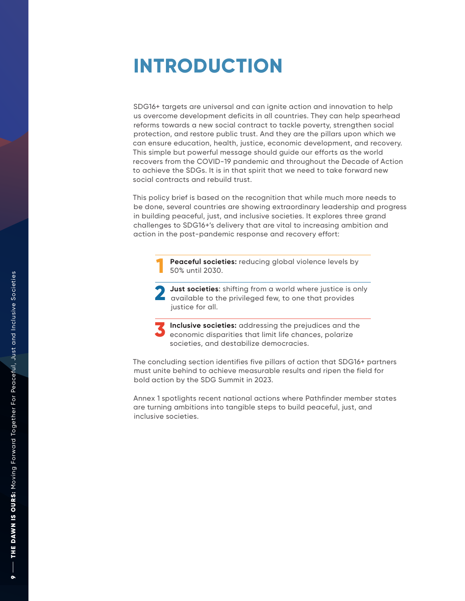## **INTRODUCTION**

SDG16+ targets are universal and can ignite action and innovation to help us overcome development deficits in all countries. They can help spearhead reforms towards a new social contract to tackle povert y, strengthen social protection, and restore public trust. And they are the pillars upon which we can ensure education, health, justice, economic development, and recover y. This simple but powerful message should guide our efforts as the world recovers from the COVID-19 pandemic and throughout the Decade of Action to achieve the SDGs. It is in that spirit that we need to take forward new social contracts and rebuild trust.

This policy brief is based on the recognition that while much more needs to be done, several countries are showing extraordinary leadership and progress in building peaceful, just, and inclusive societies. It explores three grand challenges to SDG16+ 's delivery that are vital to increasing ambition and action in the post-pandemic response and recovery effort:

> **Peaceful societies:** reducing global violence levels by 50% until 2030.

**Just societies:** shifting from a world where justice is only available to the privileged fe w, to one that provides justice for all.

Inclusive societies: addressing the prejudices and the economic disparities that limit life chances, polarize societies, and destabilize democracies.

The concluding section identifies five pillars of action that SDG16+ partners must unite behind to achieve measurable results and ripen the field for bold action by the SDG Summit in 2023. **Peaceful 50% unt**<br> **1233** Just societies.<br> **12334 Societies.**<br> **12334 Societies.**<br> **12334 Societies.**<br>
The concluding seconom societies.<br>
The concluding seconom bold action by the Annex 1 spotlights are turning ambitic in

Annex 1 spotlights recent national actions where Pathfinder member states ar e turning ambitions into tangible steps to build peaceful, just, and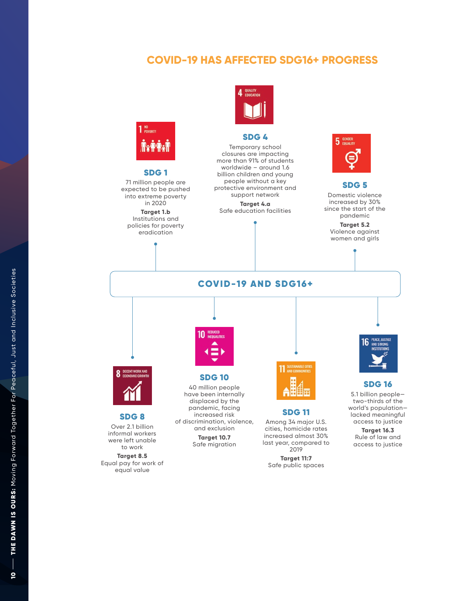### **COVID-19 HAS AFFECTED SDG16+ PROGRESS**



### SDG 1

71 million people are expected to be pushed into extreme poverty in 2020

**Target 1.b** Institutions and policies for poverty eradication



### SDG 4

Temporary school closures are impacting more than 91% of students worldwide – around 1.6 billion children and young people without a key protective environment and support network **Target 4.a**

Safe education facilities



### SDG 5 Domestic violence increased by 30% since the start of the pandemic

**Target 5.2** Violence against women and girls

COVID-19 AND SDG16+ 11 SUSTAINABLE CITY SDG 10 40 million people have been internally displaced by the pandemic, facing SDG 11 increased risk

> and exclusion **Target 10.7** Safe migration



cities, homicide rates increased almost 30% last year, compared to 2019

**Target 11:7** Safe public spaces



### SDG 16

5.1 billion people two-thirds of the world's population lacked meaningful access to justice

**Target 16.3** Rule of law and access to justice



### SDG 8

Over 2.1 billion informal workers were left unable to work

**Target 8.5** Equal pay for work of equal value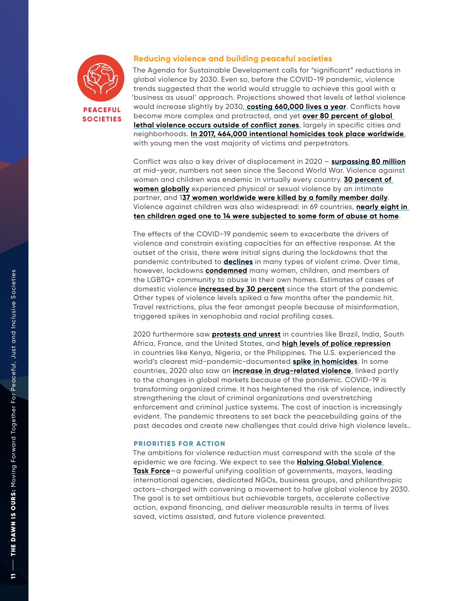

### **Reducing violence and building peaceful societies**

The Agenda for Sustainable Development calls for "significant" reductions in global violence by 2030. Even so, before the COVID-19 pandemic, violence trends suggested that the world would struggle to achieve this goal with a 'business as usual' approach. Projections showed that levels of lethal violence would increase slightly by 2030, **[costing 660,000 lives a year](https://reliefweb.int/sites/reliefweb.int/files/resources/SAS-BP-Violent-Deaths-Scenarios.pdf)**. Conflicts have become more complex and protracted, and yet **[over 80 percent of global](https://530cfd94-d934-468b-a1c7-c67a84734064.filesusr.com/ugd/6c192f_4b35baa8808f4a48a77b782670393d4f.pdf)  [lethal violence occurs outside of conflict zones](https://530cfd94-d934-468b-a1c7-c67a84734064.filesusr.com/ugd/6c192f_4b35baa8808f4a48a77b782670393d4f.pdf)**, largely in specific cities and neighborhoods. **[In 2017, 464,000 intentional homicides took place worldwide](https://530cfd94-d934-468b-a1c7-c67a84734064.filesusr.com/ugd/6c192f_f6036b2b1ecf4fd1a3d7687ff7098a46.pdf)**, with young men the vast majority of victims and perpetrators.

Conflict was also a key driver of displacement in 2020 – **[surpassing 80 million](https://www.unhcr.org/news/press/2020/12/5fcf94a04/forced-displacement-passes-80-million-mid-2020-covid-19-tests-refugee-protection.html)** at mid-year, numbers not seen since the Second World War. Violence against women and children was endemic in virtually every country. **[30 percent of](https://gensac.network/wp-content/uploads/2020/02/Gender-Responsive-Small-Arm-Control-in-the-Decade-of-Action-for-the-SDGs.pdf)  [women globally](https://gensac.network/wp-content/uploads/2020/02/Gender-Responsive-Small-Arm-Control-in-the-Decade-of-Action-for-the-SDGs.pdf)** experienced physical or sexual violence by an intimate partner, and 1**[37 women worldwide were killed by a family member daily](https://www.unwomen.org/en/what-we-do/ending-violence-against-women/facts-and-figures)**. Violence against children was also widespread: in 69 countries, **[nearly eight in](https://sustainabledevelopment.un.org/content/documents/26482HLPF_Advancing_human_wellbeing_BN_FINAL_1July2020.pdf)  [ten children aged one to 14 were subjected to some form of abuse at home](https://sustainabledevelopment.un.org/content/documents/26482HLPF_Advancing_human_wellbeing_BN_FINAL_1July2020.pdf)**.

The effects of the COVID-19 pandemic seem to exacerbate the drivers of violence and constrain existing capacities for an effective response. At the outset of the crisis, there were initial signs during the lockdowns that the pandemic contributed to **[declines](http://catcher.sandiego.edu/items/usd/Peace in Our Cities Evidence Brief - Organized Crime %26 Urban Violence during COVID-19.pdf)** in many types of violent crime. Over time, however, lockdowns **[condemned](https://bf889554-6857-4cfe-8d55-8770007b8841.filesusr.com/ugd/6c192f_3702745ca5ed402f8f2ec7635277919e.pdf)** many women, children, and members of the LGBTQ+ community to abuse in their own homes. Estimates of cases of domestic violence **[increased by 30 percent](https://catcher.sandiego.edu/items/peacestudies/PiOC Brief - Preventing VAW during COVID-19.pdf)** since the start of the pandemic. Other types of violence levels spiked a few months after the pandemic hit. Travel restrictions, plus the fear amongst people because of misinformation, triggered spikes in xenophobia and racial profiling cases.

2020 furthermore saw **[protests and unrest](https://www.weforum.org/agenda/2020/04/we-need-major-cooperation-on-global-security-in-the-covid-19-era/)** in countries like Brazil, India, South Africa, France, and the United States, and **[high levels of police repression](https://www.weforum.org/agenda/2020/04/we-need-major-cooperation-on-global-security-in-the-covid-19-era/)** in countries like Kenya, Nigeria, or the Philippines. The U.S. experienced the world's clearest mid-pandemic-documented **[spike in homicides](https://www.nytimes.com/2021/06/01/us/shootings-in-us.html)**. In some countries, 2020 also saw an **[increase in drug-related violence](https://www.thedialogue.org/analysis/the-pandemic-is-disrupting-organized-crime-but-not-necessarily-for-the-better/)**, linked partly to the changes in global markets because of the pandemic. COVID-19 is transforming organized crime. It has heightened the risk of violence, indirectly strengthening the clout of criminal organizations and overstretching enforcement and criminal justice systems. The cost of inaction is increasingly evident. The pandemic threatens to set back the peacebuilding gains of the past decades and create new challenges that could drive high violence levels..

### **PRIORITIES FOR ACTION**

The ambitions for violence reduction must correspond with the scale of the epidemic we are facing. We expect to see the **[Halving Global Violence](https://medium.com/sdg16plus/eyeing-a-blueprint-for-a-50-reduction-in-global-violence-by-2030-introducing-the-pathfinders-13b5e3b5b33d)  [Task Force](https://medium.com/sdg16plus/eyeing-a-blueprint-for-a-50-reduction-in-global-violence-by-2030-introducing-the-pathfinders-13b5e3b5b33d)**—a powerful unifying coalition of governments, mayors, leading international agencies, dedicated NGOs, business groups, and philanthropic actors—charged with convening a movement to halve global violence by 2030. The goal is to set ambitious but achievable targets, accelerate collective action, expand financing, and deliver measurable results in terms of lives saved, victims assisted, and future violence prevented.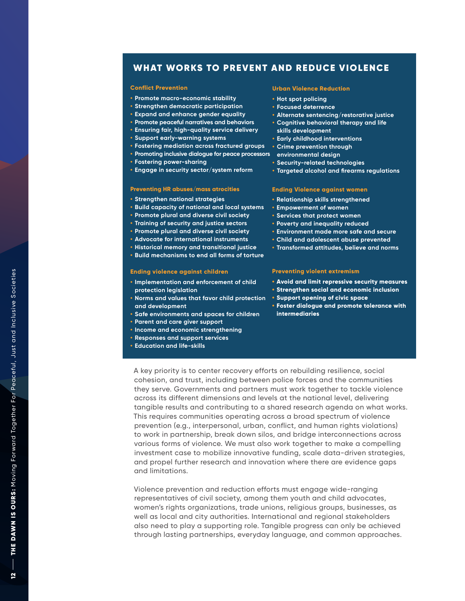### WHAT WORKS TO PREVENT AND REDUCE VIOLENCE

### **Conflict Prevention**

- **• Promote macro-economic stability**
- **• Strengthen democratic participation**
- **• Expand and enhance gender equality**
- **• Promote peaceful narratives and behaviors**
- **• Ensuring fair, high-quality service delivery**
- **• Support early-warning systems**
- **• Fostering mediation across fractured groups**
- **• Promoting inclusive dialogue for peace processors environmental design**
- **• Fostering power-sharing**
- **• Engage in security sector/system reform**

### **Preventing HR abuses/mass atrocities**

- **• Strengthen national strategies**
- **• Build capacity of national and local systems**
- **• Promote plural and diverse civil society**
- **• Training of security and justice sectors**
- **• Promote plural and diverse civil society**
- **• Advocate for international instruments**
- **• Historical memory and transitional justice**
- **• Build mechanisms to end all forms of torture**

### **Ending violence against children**

- **• Implementation and enforcement of child protection legislation**
- **• Norms and values that favor child protection and development**
- **• Safe environments and spaces for children**
- **• Parent and care giver support**
- **• Income and economic strengthening**
- **• Responses and support services**
- **• Education and life-skills**

### **Urban Violence Reduction**

- **• Hot spot policing**
- **• Focused deterrence**
- **• Alternate sentencing/restorative justice**
- **• Cognitive behavioral therapy and life skills development**
	- **• Early childhood interventions**
- **• Crime prevention through**
- 
- **• Security-related technologies**
- **• Targeted alcohol and firearms regulations**

### **Ending Violence against women**

- **• Relationship skills strengthened**
- **• Empowerment of women**
- **• Services that protect women**
- **• Poverty and inequality reduced**
- **• Environment made more safe and secure**
- **• Child and adolescent abuse prevented**
- **• Transformed attitudes, believe and norms**

### **Preventing violent extremism**

- **• Avoid and limit repressive security measures**
- **• Strengthen social and economic inclusion**
- **• Support opening of civic space**
- **• Foster dialogue and promote tolerance with intermediaries**

A key priority is to center recovery efforts on rebuilding resilience, social cohesion, and trust, including between police forces and the communities they serve. Governments and partners must work together to tackle violence across its different dimensions and levels at the national level, delivering tangible results and contributing to a shared research agenda on what works. This requires communities operating across a broad spectrum of violence prevention (e.g., interpersonal, urban, conflict, and human rights violations) to work in partnership, break down silos, and bridge interconnections across various forms of violence. We must also work together to make a compelling investment case to mobilize innovative funding, scale data-driven strategies, and propel further research and innovation where there are evidence gaps and limitations.

Violence prevention and reduction efforts must engage wide-ranging representatives of civil society, among them youth and child advocates, women's rights organizations, trade unions, religious groups, businesses, as well as local and city authorities. International and regional stakeholders also need to play a supporting role. Tangible progress can only be achieved through lasting partnerships, everyday language, and common approaches.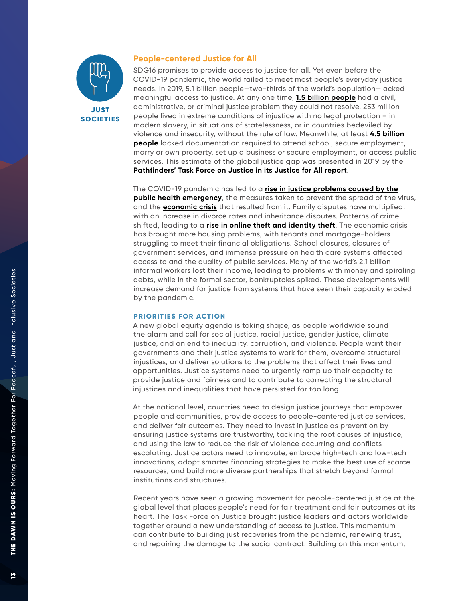

### **People-centered Justice for All**

SDG16 promises to provide access to justice for all. Yet even before the COVID-19 pandemic, the world failed to meet most people's everyday justice needs. In 2019, 5.1 billion people—two-thirds of the world's population—lacked meaningful access to justice. At any one time, **[1.5 billion people](https://www.justice.sdg16.plus/report)** had a civil, administrative, or criminal justice problem they could not resolve. 253 million people lived in extreme conditions of injustice with no legal protection – in modern slavery, in situations of statelessness, or in countries bedeviled by violence and insecurity, without the rule of law. Meanwhile, at least **[4.5 billion](https://www.justice.sdg16.plus/report) [people](https://www.justice.sdg16.plus/report)** lacked documentation required to attend school, secure employment, marry or own property, set up a business or secure employment, or access public services. This estimate of the global justice gap was presented in 2019 by the **[Pathfinders' Task Force on Justice in its Justice for All report](https://www.justice.sdg16.plus/report)**.

The COVID-19 pandemic has led to a **[rise in justice problems caused by the](https://bf889554-6857-4cfe-8d55-8770007b8841.filesusr.com/ugd/6c192f_1e8d8e91cfec4098b7b26db9cd296d30.pdf) [public health emergency](https://bf889554-6857-4cfe-8d55-8770007b8841.filesusr.com/ugd/6c192f_1e8d8e91cfec4098b7b26db9cd296d30.pdf)**, the measures taken to prevent the spread of the virus, and the **[economic crisis](https://bf889554-6857-4cfe-8d55-8770007b8841.filesusr.com/ugd/6c192f_0658a70ae607408098643815ab855a65.pdf)** that resulted from it. Family disputes have multiplied, with an increase in divorce rates and inheritance disputes. Patterns of crime shifted, leading to a **[rise in online theft and identity theft](https://bf889554-6857-4cfe-8d55-8770007b8841.filesusr.com/ugd/6c192f_0658a70ae607408098643815ab855a65.pdf)**. The economic crisis has brought more housing problems, with tenants and mortgage-holders struggling to meet their financial obligations. School closures, closures of government services, and immense pressure on health care systems affected access to and the quality of public services. Many of the world's 2.1 billion informal workers lost their income, leading to problems with money and spiraling debts, while in the formal sector, bankruptcies spiked. These developments will increase demand for justice from systems that have seen their capacity eroded by the pandemic.

### **PRIORITIES FOR ACTION**

A new global equity agenda is taking shape, as people worldwide sound the alarm and call for social justice, racial justice, gender justice, climate justice, and an end to inequality, corruption, and violence. People want their governments and their justice systems to work for them, overcome structural injustices, and deliver solutions to the problems that affect their lives and opportunities. Justice systems need to urgently ramp up their capacity to provide justice and fairness and to contribute to correcting the structural injustices and inequalities that have persisted for too long.

At the national level, countries need to design justice journeys that empower people and communities, provide access to people-centered justice services, and deliver fair outcomes. They need to invest in justice as prevention by ensuring justice systems are trustworthy, tackling the root causes of injustice, and using the law to reduce the risk of violence occurring and conflicts escalating. Justice actors need to innovate, embrace high-tech and low-tech innovations, adopt smarter financing strategies to make the best use of scarce resources, and build more diverse partnerships that stretch beyond formal institutions and structures.

Recent years have seen a growing movement for people-centered justice at the global level that places people's need for fair treatment and fair outcomes at its heart. The Task Force on Justice brought justice leaders and actors worldwide together around a new understanding of access to justice. This momentum can contribute to building just recoveries from the pandemic, renewing trust, and repairing the damage to the social contract. Building on this momentum,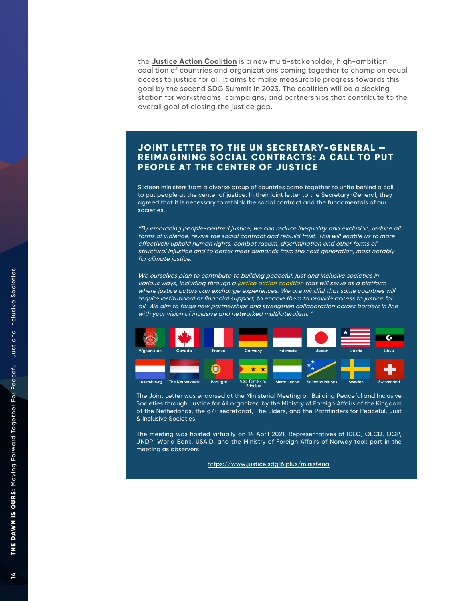the **[Justice Action Coalition](https://www.justice.sdg16.plus/ministerial)** is a new multi-stakeholder, high-ambition coalition of countries and organizations coming together to champion equal access to justice for all. It aims to make measurable progress towards this goal by the second SDG Summit in 2023. The coalition will be a docking station for workstreams, campaigns, and partnerships that contribute to the overall goal of closing the justice gap.

### JOINT LETTER TO THE UN SECRETARY-GENERAL – REIMAGINING SOCIAL CONTRACTS: A CALL T O PUT PEOPLE A T THE CENTER OF JUSTICE

Sixteen ministers from a diverse group of countries came together to unite behind a call to put people at the center of justice. In their joint letter to the Secretary-General, they agreed that it is necessary to rethink the social contract and the fundamentals of our societies.

"By embracing people-centred justice, we can reduce inequality and exclusion, reduce all forms of violence, revive the social contract and rebuild trust. This will enable us to more effectively uphold human rights, combat racism, discrimination and other forms of structural injustice and to better meet demands from the next generation, most notably for climate justice.

We ourselves plan to contribute to building peaceful, just and inclusive societies in various ways, including through a justice action coalition that will serve as a platform where justice actors can exchange experiences. We are mindful that some countries will require institutional or financial support, to enable them to provide access to justice for all. We aim to forge new partnerships and strengthen collaboration across borders in line with your vision of inclusive and networked multilateralism.  $4$ 



The Joint Letter was endorsed at the Ministerial Meeting on Building Peaceful and Inclusive Societies through Justice for All organized by the Mini stry of Foreign Affair s of the Kingdom of the Netherlands, the g7+ secretariat, The Elders, and the Pathfinders for Pe aceful, Just & Inclusive Societies.

Th e m e eting was hosted [virtually](https://www.justice.sdg16.plus/ministerial) on 14 April 2021. R e presentatives of IDLO , OECD, OGP, UNDP, World Bank, USAID, and the Ministry of Foreign Affairs of Norway took part in the meeting as observers

htt ps://www.justice.sdg16 . plu s /ministerial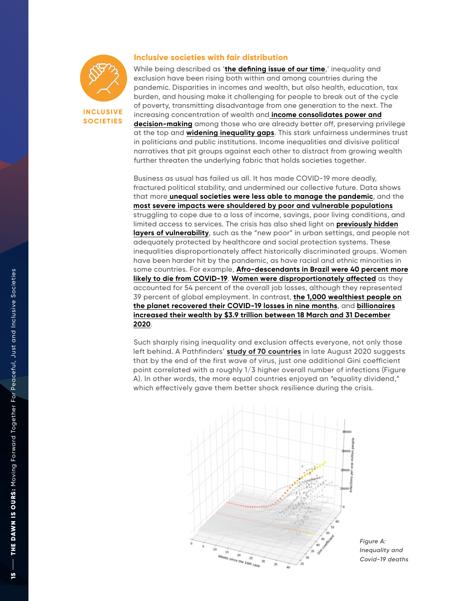

**INCLUSIVE SOCIETIES**

### **Inclusive societies with fair distribution**

While being described as '**[the defining issue of our time](https://www.washingtonpost.com/blogs/plum-line/wp/2013/12/04/inequality-is-the-defining-issue-of-our-time/)**,' inequality and exclusion have been rising both within and among countries during the pandemic. Disparities in incomes and wealth, but also health, education, tax burden, and housing make it challenging for people to break out of the cycle of poverty, transmitting disadvantage from one generation to the next. The increasing concentration of wealth and **[income consolidates power and](https://eml.berkeley.edu/~saez/kuziemko-norton-saez-stantchevaAER15.pdf) [decision-making](https://eml.berkeley.edu/~saez/kuziemko-norton-saez-stantchevaAER15.pdf)** among those who are already better off, preserving privilege at the top and **widening inequality gaps**. This stark unfairness undermines trust in politicians and public institutions. Income inequalities and divisive political narratives that pit groups against each other to distract from growing wealth further threaten the underlying fabric that holds societies together.

Business as usual has failed us all. It has made COVID-19 more deadly, fractured political stability, and undermined our collective future. Data shows that more **[unequal societies were less able to manage the pandemic](https://medium.com/sdg16plus/more-equal-societies-are-better-placed-to-fight-the-covid-19-pandemic-b87aa92bf422)**, and the **[most severe impacts were shouldered by poor and vulnerable populations](https://medium.com/sdg16plus/covid-19-has-a-postcode-70d62e91b8fe)** struggling to cope due to a loss of income, savings, poor l[iving conditions, an](https://www.worldbank.org/en/topic/poverty/brief/poverty-and-distributional-impacts-of-covid-19-potential-channels-of-impact-and-mitigating-policies)d limited access to services. The crisis has also shed light on **previously hidden [layers of vulnerability](https://www.worldbank.org/en/topic/poverty/brief/poverty-and-distributional-impacts-of-covid-19-potential-channels-of-impact-and-mitigating-policies)**, such as the "new poor" in urban settings, and people not adequately protected by healthcare and social protection systems. These inequalities disproportionately affect historically discriminated groups. Women have been harder hit by the pandemic, as have racial and ethnic minorities in some countries. For example, **[Afro-descendants in Brazil were 40 percent more](https://www.oxfam.org/en/press-releases/mega-rich-recoup-covid-losses-record-time-yet-billions-will-live-poverty-least) [likely to die from COVID-19](https://www.oxfam.org/en/press-releases/mega-rich-recoup-covid-losses-record-time-yet-billions-will-live-poverty-least)**. **[Women were disproportionately affected](https://bf889554-6857-4cfe-8d55-8770007b8841.filesusr.com/ugd/6c192f_c5e1d5d3515e443dabde708e9221a3cb.pdf)** as they accounted for 54 percent of the overall job lo[sses, although they represented](https://www.oxfam.org/en/press-releases/mega-rich-recoup-covid-losses-record-time-yet-billions-will-live-poverty-least) 39 percent of global employment. In contrast, **the 1,000 wealthi[est people o](https://inequality.org/great-divide/updates-billionaire-pandemic/)n [the planet recovered their COVID-19 losses in nine](https://www.oxfam.org/en/press-releases/mega-rich-recoup-covid-losses-record-time-yet-billions-will-live-poverty-least) months**, and **billionaires [increased their wealth by \\$3.9 trillion between 18 March and 31 December](https://inequality.org/great-divide/updates-billionaire-pandemic/) 2020**.

Such sharply rising inequality and exclusion affects everyone, not only those left behind. A Pathfinders' **[study of 70 countries](https://cic.nyu.edu/sites/default/files/nyu_cic_-_inequality_lockdown_and_covid-19_unequal_societies_struggle_to_contain_the_virus_-_april_2021.pdf)** in late August 2020 suggests that by the end of the first wave of virus, just one additional Gini coefficient point correlated with a roughly 1/3 higher overall number of infections (Figure A). In other words, the more equal countries enjoyed an "equality dividend," which effectively gave them better shock resilience during the crisis.



*Figure A: Inequality and Covid-19 deaths*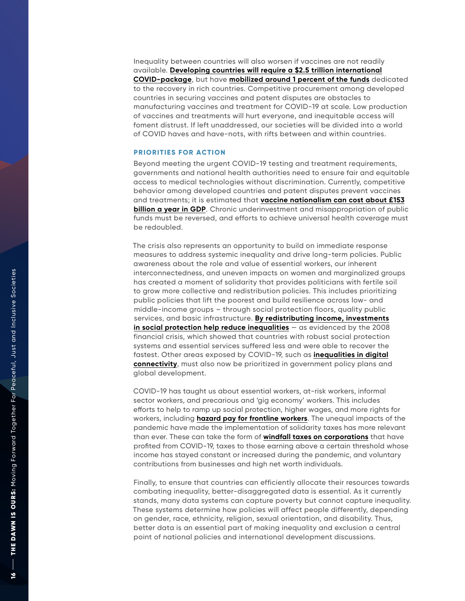Inequality between countries will also worsen if vaccines are not readily available. **[Developing countries will require a \\$2.5 trillion international](https://530cfd94-d934-468b-a1c7-c67a84734064.filesusr.com/ugd/6c192f_70a36614cf6f445c8d73a781dd1dad3e.pdf) [COVID-package](https://530cfd94-d934-468b-a1c7-c67a84734064.filesusr.com/ugd/6c192f_70a36614cf6f445c8d73a781dd1dad3e.pdf)**, but have **[mobilized around 1 percent of the funds](https://www.weforum.org/agenda/2020/10/covid-19-is-increasing-multiple-kinds-of-inequality-here-s-what-we-can-do-about-it/)** dedicated to the recovery in rich countries. Competitive procurement among developed countries in securing vaccines and patent disputes are obstacles to manufacturing vaccines and treatment for COVID-19 at scale. Low production of vaccines and treatments will hurt everyone, and inequitable access will foment distrust. If left unaddressed, our societies will be divided into a world of COVID haves and have-nots, with rifts between and within countries.

### **PRIORITIES FOR ACTION**

Beyond meeting the urgent COVID-19 testing and treatment requirements, governments and national health authorities need to ensure fair and equitable access to medical technologies without discriminat ion. Currentl y, competitive behavior among developed countries and patent disputes prevent vaccines and treatments; it is estimated that **vaccine nationalism can cost about £153 [billion a year in GDP](https://www.rand.org/pubs/research_briefs/RBA769-1.html)**. Chronic under[investment and misappropriation of public](https://www.rand.org/pubs/research_briefs/RBA769-1.html) funds must be reversed, and efforts to achieve universal health coverage must be redoubled.

The crisis also represents an opportunity to build on immediate response measures to address systemic inequality and drive long-term policies. Public awareness about the role and value of essential workers, our inherent interconnectedness, and uneven impacts on women and marginalized groups has created a moment of solidarity that provides politicians with fertile soil to grow more collective and redistribution policies. This includes prioritizing public policies that lift t he poorest and build resilience across low- and middle-income groups – through social protection floors, quality public services, and basic infrastructure. **By redistributing income, investments [in social protection help reduce inequalities](https://unsdg.un.org/resources/un-framework-immediate-socio-economic-response-covid-19)** [— as evidenced by the 2008](https://unsdg.un.org/resources/un-framework-immediate-socio-economic-response-covid-19) financial crisis, which showed that countries with robust social protection systems and essential services suffered less and were able to recover the fastest. Other areas exposed by COVID-19, such as **inequalities in digital [connectivity](https://cic.nyu.edu/sites/default/files/cic_pathfinders_digital_equity_as_an_enabling_platform_june_2021.pdf)**, must also now be prioritized in gove[rnment policy plans and](https://cic.nyu.edu/sites/default/files/cic_pathfinders_digital_equity_as_an_enabling_platform_june_2021.pdf) global development.

COVID-19 has taught us about essential workers, at-risk workers, informal sector workers, and precarious and 'gig economy' workers. This includes efforts to help to ramp up social protection, higher wages, and more rights for workers, including **[hazard pay for frontline workers](https://www.theguardian.com/commentisfree/2021/mar/08/soldiers-key-workers-protections-pay-pensions-risk-society)**. The unequal impacts of the pandemic have made the implementation of solidarity taxes has more relevant than ever. These can take the form of **[windfall taxes on corporations](https://cic.nyu.edu/sites/default/files/cic_pathfinders_solidarity_taxes_in_the_context_of_economic_recovery_0.pdf)** that have profited from COVID-1 9, taxes to those earning above a certain threshold whose income has stayed constant or increased du ring the pandemic, and voluntary contributions from businesses and high net worth individual s .

Finall y, to ensure that count ries can efficiently allocate their resources towards combating inequalit y, better-disaggregated data is essential. As it currently stands, many data systems can capture poverty but cannot capture inequalit y . These systems determine how policies will affect people differentl y, depending on gender, race, ethnicit y, religion, sexual orientation, and disabilit y. Thus, better data is an essential part of making inequality and exclusion a central point of national policies and international development discussions.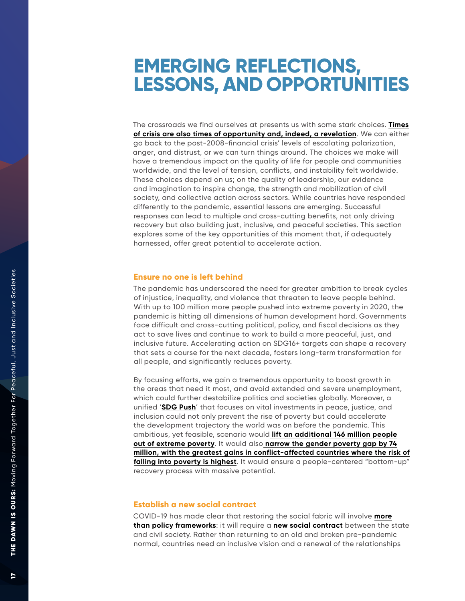## **EMERGING REFLE CTIONS, LESSONS, A N D OP PORTUNITIES**

The crossroads we find ourselves at presents us wit h some stark choices. **[Times](https://press.princeton.edu/books/hardcover/9780691204451/what-we-owe-each-other) of crisis are also times of [opportunity and, indeed, a revelation](https://press.princeton.edu/books/hardcover/9780691204451/what-we-owe-each-other)**. We can either go back to the post-2008-financial crisis' levels of escalating polarization, anger, and distrust, or we can turn things around. The choices we make will have a tremendous impact on the quality of life for people and communities worldwide, and the level of tension, conflicts, and instability felt worldwide. These choices depend on us; on the quality of leadership, our evidence and imagination to inspire change, the strength and mobilization of civil society, and collective action across sectors. While countries have responded differently to the pandemic, essential lessons are emerging. Successful responses can lead to multiple and cross-cutting benefits, not only driving recovery but also building just, inclusive, and peaceful societies. This section explores some of the key opportunities of this moment that, if adequately harnessed, offer great potential to accelerate action.

### **Ensure no on e is left behind**

The pandemic has underscored the need for greater ambition to break cycles of injustice, inequalit y, and violence that threaten to leave people behind. W i th up to 100 million more people pushed into extreme poverty in 2020, the pandemic is hitting all dimensions of human development hard. Governments face difficult and cross-cutting political, policy, and fiscal decisions as they act to save lives and continue to work to build a more peaceful, just, and inclusive future. Accelerating action on SDG16+ targets can shape a recovery that sets a course for the next decade, fosters long-term transformation for all people, and significantly reduces povert y .

By focusing efforts, we gain a tremendous opportunity to boost growth in the areas that need it most, and avoid extended and severe unemployment, which could further destabilize politics and societies globally. Moreover, a unified '**[SDG Push](https://sdgintegration.undp.org/sites/default/files/Impact_of_COVID-19_on_the_SDGs.pdf)**' that focuses on vital investments in peace, justice, and inclusion could not only prevent the rise of poverty but could accelerate the development trajectory the world was on before the pandemic. This ambitious, yet feasible, scenario would **[lift an additional 146 million people](https://sdgintegration.undp.org/sites/default/files/Impact_of_COVID-19_on_the_SDGs.pdf)** [out of extreme poverty](https://sdgintegration.undp.org/sites/default/files/Impact_of_COVID-19_on_the_SDGs.pdf). It would also [narrow the gender poverty gap by 74](https://sdgintegration.undp.org/sites/default/files/Impact_of_COVID-19_on_the_SDGs.pdf) **[million, with the greatest gains in conflict-affected countries where the risk of](https://sdgintegration.undp.org/sites/default/files/Impact_of_COVID-19_on_the_SDGs.pdf) [falling into poverty is highest](https://sdgintegration.undp.org/sites/default/files/Impact_of_COVID-19_on_the_SDGs.pdf)**. It would ensure a people-centered "bottom-up" recovery process with massive potential.

### **Establish a new social contract**

COVID-19 has made clear that restoring the social fabric will involve **[more](https://www.un.org/sg/en/content/sg/statement/2020-07-18/secretary-generals-nelson-mandela-lecture-%E2%80%9Ctackling-the-inequality-pandemic-new-social-contract-for-new-era%E2%80%9D-delivered) [than policy frameworks](https://www.un.org/sg/en/content/sg/statement/2020-07-18/secretary-generals-nelson-mandela-lecture-%E2%80%9Ctackling-the-inequality-pandemic-new-social-contract-for-new-era%E2%80%9D-delivered)**: it will require a **[new social contract](https://www.cepal.org/en/pressreleases/it-crucial-propose-social-compact-based-broad-and-participatory-dialogue-face-present)** between the state and civil societ y. Rather than returning to an old and broken pre-pandemic normal, countries need an inclusive vision and a renewal of the relationships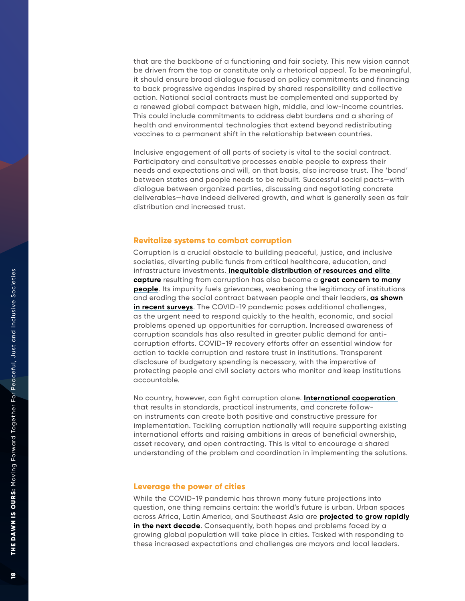that are the backbone of a functioning and fair society. This new vision cannot be driven from the top or constitute only a rhetorical appeal. To be meaningful, it should ensure broad dialogue focused on policy commitments and financing to back progressive agendas inspired by shared responsibility and collective action. National social contracts must be complemented and supported by a renewed global compact between high, middle, and low-income countries. This could include commitments to address debt burdens and a sharing of health and environmental technologies that extend beyond redistributing vaccines to a permanent shift in the relationship between countries.

Inclusive engagement of all parts of society is vital to the social contract. Participatory and consultative processes enable people to express their needs and expectations and will, on that basis, also increase trust. The 'bond' between states and people needs to be rebuilt. Successful social pacts—with dialogue between organized parties, discussing and negotiating concrete deliverables—have indeed delivered growth, and what is generally seen as fair distribution and increased trust.

### **Revitalize systems to combat corruption**

Corruption is a crucial obstacle to building peaceful, justice, and inclusive societies, diverting public funds from critical healthcare, education, and infrastructure investments. **[Inequitable distribution of resources and elite](https://knowledgehub.transparency.org/helpdesk/correlation-between-corruption-and-inequality)  [capture](https://knowledgehub.transparency.org/helpdesk/correlation-between-corruption-and-inequality)** resulting from corruption has also become a **[great concern to many](https://www.ipsos.com/en/what-worries-world-january-2021)  [people](https://www.ipsos.com/en/what-worries-world-january-2021)**. Its impunity fuels grievances, weakening the legitimacy of institutions and eroding the social contract between people and their leaders, **[as shown](https://www.un.org/en/un75/finalreport)  [in recent surveys](https://www.un.org/en/un75/finalreport)**. The COVID-19 pandemic poses additional challenges, as the urgent need to respond quickly to the health, economic, and social problems opened up opportunities for corruption. Increased awareness of corruption scandals has also resulted in greater public demand for anticorruption efforts. COVID-19 recovery efforts offer an essential window for action to tackle corruption and restore trust in institutions. Transparent disclosure of budgetary spending is necessary, with the imperative of protecting people and civil society actors who monitor and keep institutions accountable.

No country, however, can fight corruption alone. **[International cooperation](https://uploads-ssl.webflow.com/5e0bd9edab846816e263d633/602e91032a209d0601ed4a2c_FACTI_Panel_Report.pdf)**  that results in standards, practical instruments, and concrete followon instruments can create both positive and constructive pressure for implementation. Tackling corruption nationally will require supporting existing international efforts and raising ambitions in areas of beneficial ownership, asset recovery, and open contracting. This is vital to encourage a shared understanding of the problem and coordination in implementing the solutions.

### **Leverage the power of cities**

While the COVID-19 pandemic has thrown many future projections into question, one thing remains certain: the world's future is urban. Urban spaces across Africa, Latin America, and Southeast Asia are **[projected to grow rapidly](https://www.un.org/development/desa/en/news/population/2018-revision-of-world-urbanization-prospects.html)**  [in the next decade](https://www.un.org/development/desa/en/news/population/2018-revision-of-world-urbanization-prospects.html). Consequently, both hopes and problems faced by a growing global population will take place in cities. Tasked with responding to these increased expectations and challenges are mayors and local leaders.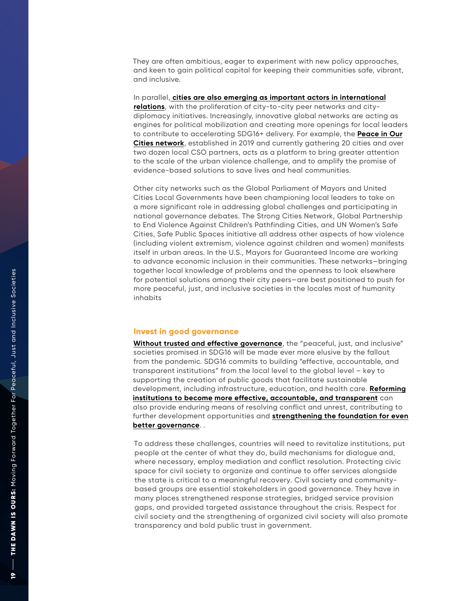They are often ambitious, eager to experiment with new policy approaches, and keen to gain political capital for keeping their communities safe, vibrant, and inclusive.

In parallel, **[cities are also emerging as important actors in international](https://www.weforum.org/agenda/2019/11/the-growing-role-of-cities-in-international-diplomacy/) [relations](https://www.weforum.org/agenda/2019/11/the-growing-role-of-cities-in-international-diplomacy/)**, with the proliferation of city-to-city peer networks and citydiplomacy initiatives. Increasingly, innovative global networks are acting as engines for political mobilization and creating more openings for local leaders to contribute to accelerating SDG16+ deliver y. For example, the **[Peace in Our](http://www.sdg16.plus/peaceinourcities) [Cities network](http://www.sdg16.plus/peaceinourcities)**, established in 2019 and currently gathering 20 cities and over two dozen local CSO partners, acts as a platform to bring greater attention to the scale of the urban violence challenge, and to amplify the promise of evidence-based solutions to save lives and heal communities.

Other city networks such as the Global Parliament of Mayors and United Cities Local Governments have been championing local leaders to take on a more significant role in addressing global challenges and participating in national governance debates. The Strong Cities Network, Global Partnership to End Violence Against Children's Pathfinding Cities, and UN Women's Safe Cities, Safe Public Spaces initiative all address other aspects of how violence (including violent extremism, violence against children and women) manifests itself in urban areas. In the U.S., Mayors for Guaranteed Income are working to advance economic inclusion in their communities. These networks—bringing together local knowledge of problems and the openness to look elsewhere for potential solutions among their city peers—are best positioned to push for more peaceful, just, and inclusive societies in the locales most of humanity inhabits

### **Invest in good governance**

**[Without trusted and effective governance](https://530cfd94-d934-468b-a1c7-c67a84734064.filesusr.com/ugd/6c192f_70a36614cf6f445c8d73a781dd1dad3e.pdf)**, the "peaceful, just, and inclusive" societies promised in SDG16 will be made ever more elusive by the fallout from the pandemic. SDG16 commits to building "effective, accountable, and transparent institutions" from the local level to the global level – key to supporting the creation of public goods that facilitat e sustainable development, including infrastructure, edu[cation, and health care.](https://www.stabilityjournal.org/articles/10.5334/sta.435/) **Reforming institutions to become [more effective, accountable, and](https://www.stabilityjournal.org/articles/10.5334/sta.435/) transparent** can also provide enduring means of resolving conflict and u n rest, contributing to [further development opportunities and](https://www.sciencedirect.com/science/article/abs/pii/S0305750X15000145) **strengthening the foundation for even better governance**. .

To address these challenges, countries will need to revitalize institutions, put people at the center of what they do, build mechanisms for dialogue and,<br>where necessary, employ mediation and conflict resolution. Protecting civic<br>space for civil society to organize and continue to offer services alongs based groups are essential stakeholders in good governance. They have in many places strengthened response strategies, bridged service provision gaps, and provided targeted assistance throughout the crisis. Respect for civil society and the strengthening of organized civil society will also promote transparency and bold public trust in government.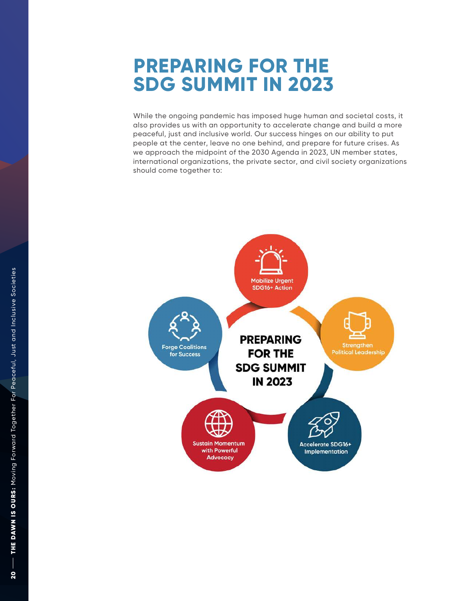## **PREPARING FOR THE SD G SUMMIT IN 202 3**

While the ongoing pandemic has imposed huge human and societal costs, it also provides us with an opportunity to accelerate change and build a more peaceful, just and inclusive world. Our success hinges on our ability to put people at the center, leave no one behind, and prepare for future crises. As<br>we approach the midpoint of the 2030 Agenda in 2023, UN member states,<br>international organizations, the private sector, and civil society organiz

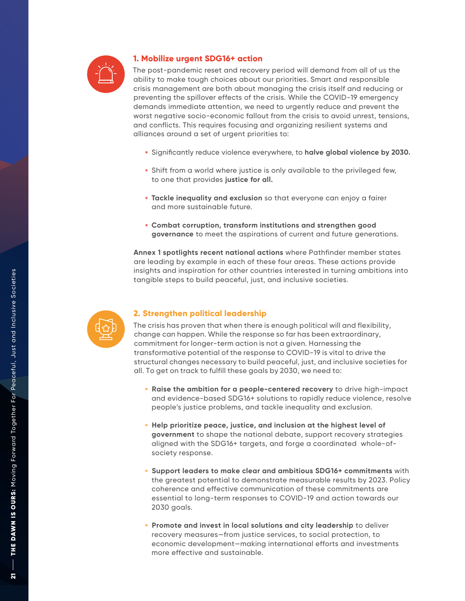

### **1. Mobilize urgent SDG16+ action**

The post-pandemic reset and recovery period will demand from all of us the ability to make tough choices about our priorities. Smart and responsible crisis management are both about managing the crisis itself and reducing or preventing the spillover effects of the crisis. While the COVID-19 emergency demands immediate attention, we need to urgently reduce and prevent the worst negative socio-economic fallout from the crisis to avoid unrest, tensions, and conflicts. This requires focusing and organizing resilient systems and alliances around a set of urgent priorities to:

- Significantly reduce violence everywhere, to **halve global violence by 2030.**
- Shift from a world where justice is only available to the privileged few, to one that provides **justice for all.**
- **Tackle inequality and exclusion** so that everyone can enjoy a fairer and more sustainable future.
- **Combat corruption, transform institutions and strengthen good governance** to meet the aspirations of current and future generations.

**Annex 1 spotlights recent national actions** where Pathfinder member states are leading by example in each of these four areas. These actions provide insights and inspiration for other countries interested in turning ambitions into tangible steps to build peaceful, just, and inclusive societies.



### **2. Strengthen political leadership**

The crisis has proven that when there is enough political will and flexibility, change can happen. While the response so far has been extraordinary, commitment for longer-term action is not a given. Harnessing the transformative potential of the response to COVID-19 is vital to drive the structural changes necessary to build peaceful, just, and inclusive societies for all. To get on track to fulfill these goals by 2030, we need to:

- **Raise the ambition for a people-centered recovery** to drive high-impact and evidence-based SDG16+ solutions to rapidly reduce violence, resolve people 's justice problems, and tackle inequality and exclusion.
- **Help prioritize peace, justice, and inclusion at the highest level of government** to shape the national debate, support recovery strategies aligned with the SDG16+ targets, and forge a coordinated whole-of society response.
- **Support leaders to make clear and ambitious SDG16+ commitments** with the greatest potential to demonstrate measurable results by 2023. Policy coherence and effective communication of these commitments are essential to long-term responses to COVID-19 and action towards our 2030 goals.
- **Promote and invest in local solutions and city leadership** to deliver recovery measures—from justice services, to social protection, to economic development—making international efforts and investments more effective and sustainable.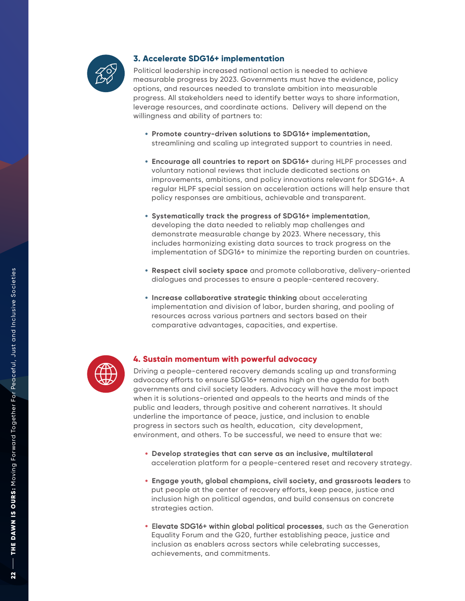

### **3. Ac celerate SDG16+ implementation**

Political leadership increased national action is needed to achieve measurable progress by 2023. Governments must have the evidence, policy options, and resources needed to translate ambition into measurable progress. All stakeholders need to identify better ways to share information, leverage resources, and coordinate actions. Delivery will depend on the willingness and ability of partners to:

- **Promote country-driven solutions to SDG16+ implementation,** streamlining and scaling up integrated support to countries in need.
- **Encourage all countries to report on SDG16+** during HLPF processes and voluntary national reviews that include dedicated sections on improvements, ambitions, and policy innovations relevant for SDG16+. A regular HLPF special session on acceleration actions will help ensure that policy responses are ambitious, achievable and transparent.
- **Systematically track the progress of SDG16+ implementation** , developing the data needed to reliably map challenges and demonstrate measurable change by 2023. Where necessary, this includes harmonizing existing data sources to track progress on the implementation of SDG16+ to minimize the reporting burden on countries.
- **Respect civil society space** and promote collaborative, delivery-oriented dialogues and processes to ensure a people-centered recovery.
- **Increase collaborative strategic thinking** about accelerating implementation and division of labor, burden sharing, and pooling of resources across various partners and sectors based on their comparative advantages, capacities, and expertise.



### **4. Sustain momentum with powerful advocacy**

Driving a people-centered recovery demands scaling up and transforming advocacy efforts to ensure SDG16+ remains high on the agenda for both governments and civil society leaders. Advocacy will have the most impact when it is solutions-oriented and appeals to the hearts and minds of the public and leaders, through positive and coherent narratives. It should underline the importance of peace, justice, and inclusion to enable progress in sectors such as health, education, city development, environment, and others. To be successful, we need to ensure that we:

- **Develop strategies that can serve as an inclusive, multilateral** acceleration platform for a people-centered reset and recovery strategy.
- **Engage youth, global champions, civil society, and grassroots leaders** to put people at the center of recovery efforts, keep peace, justice and inclusion high on political agendas, and build consensus on concrete strategies action.
- Elevate SDG16+ within global political processes, such as the Generation Equality Forum and the G20, further establishing peace, justice and inclusion as enablers across sectors while celebrating successes, achievements, and commitments.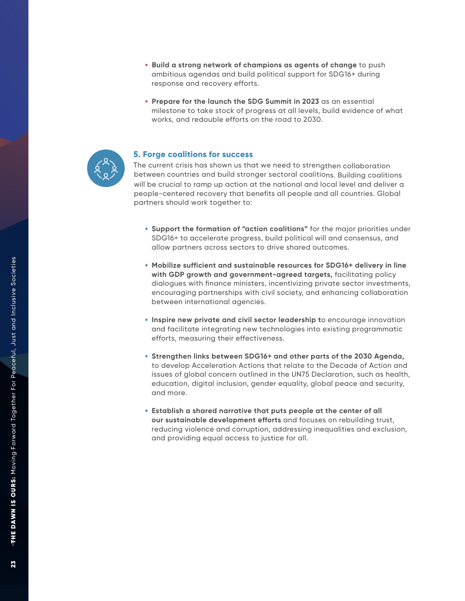- **Build a strong network of champions as agents of change** to push ambitious agendas and build political support for SDG16+ during response and recovery efforts.
- **Prepare for the launch the SDG Summit in 2023** as an essential milestone to take stock of progress at all levels, build evidence of what works, and redouble efforts on the road to 2030 .



### **5.**

The current crisis has shown us that we need to strengthen collaboration between countries and build stronger sectoral coalitions. Building coalitions will be crucial to ramp up action at the national and local level and deliver a people-centered recovery that benefits all people and all countries. Global partners should work together to:

- **Support the formation of "action coalitions"** for the major priorities under SDG16+ to accelerate progress, build political will and consensus, and allow partners across sectors to drive shared outcomes.
- **Mobilize sufficient and sustainable resources for SDG16+ delivery in line with GDP growth and government-agreed targets,** facilitating policy dialogues with finance ministers, incentivizing private sector investments, encouraging partnerships with civil societ y, and enhancing collaboration between international agencies.
- **Inspire new private and civil sector leadership t**o encourage innovation and facilitate integrating new technologies into existing programmatic efforts, measuring their effectiveness.
- **Strengthen links between SDG16+ and other parts of the 2030 Agenda,** to develop Acceleration Actions that relate to the Decade of Action and issues of global concern outlined in the UN75 Declaration, such as health, education, digital inclusion, gender equality, global peace and security, and more.
- **Establish a shared narrative that puts people at the center of all our sustainable development efforts** and focuses on rebuilding trust, reducing violence and corruption, addressing inequalities and exclusion, and providing equal access to justice for all.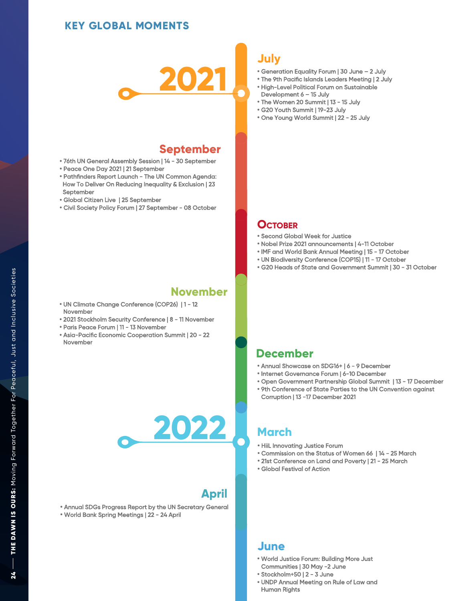### **KEY GLOBAL MOMENTS**



### **September**

- **•** 76th UN General Assembly Session | 14 30 September
- **•** Peace One Day 2021 | 21 September
- **•** Pathfinders Report Launch The UN Common Agenda: How To Deliver On Reducing Inequality & Exclusion | 23 September
- **•** Global Citizen Live | 25 September
- **•** Civil Society Policy Forum | 27 September 08 October

### **November**

- **•** UN Climate Change Conference (COP26) | 1 12 November
- **•** 2021 Stockholm Security Conference | 8 11 November
- **•** Paris Peace Forum | 11 13 November
- **•** Asia-Pacific Economic Cooperation Summit | 20 22 November

### **July**

- **•** Generation Equality Forum | 30 June 2 July
- **•** The 9th Pacific Islands Leaders Meeting | 2 July
- **•** High-Level Political Forum on Sustainable Development 6 – 15 July
- **•** The Women 20 Summit | 13 15 July
- **•** G20 Youth Summit | 19-23 July
- **•** One Young World Summit | 22 25 July

### **OCTOBER**

- **•** Second Global Week for Justice
- **•** Nobel Prize 2021 announcements | 4-11 October
- **•** IMF and World Bank Annual Meeting | 15 17 October
- **•** UN Biodiversity Conference (COP15) | 11 17 October
- **•** G20 Heads of State and Government Summit | 30 31 October

### **December**

- **•** Annual Showcase on SDG16+ | 6 9 December
- **•** Internet Governance Forum | 6-10 December
- **•** Open Government Partnership Global Summit | 13 17 December
- **•** 9th Conference of State Parties to the UN Convention against Corruption | 13 -17 December 2021

# **2022 March**

- **•** HiiL Innovating Justice Forum
- **•** Commission on the Status of Women 66 | 14 25 March
- **•** 21st Conference on Land and Poverty | 21 25 March
- **•** Global Festival of Action

### **April**

**•** Annual SDGs Progress Report by the UN Secretary General **•** World Bank Spring Meetings | 22 - 24 April

### **June**

- **•** World Justice Forum: Building More Just Communities | 30 May -2 June
- **•** Stockholm+50 | 2 3 June
- **•** UNDP Annual Meeting on Rule of Law and Human Rights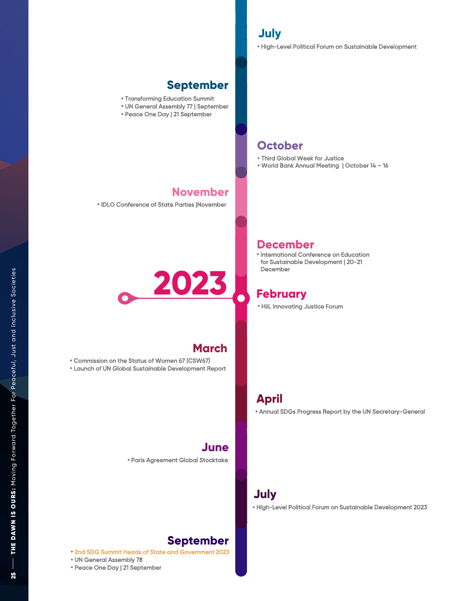**•** High-Level Political Forum on Sustainable Development

### **September**

- **•** Transforming Education Summit
- **•** UN General Assembly 77 | September
- **•** Peace One Day | 21 September

### **October**

**•** Third Global Week for Justice

**•** HiiL Innovating Justice Forum

**•** International Conference on Education for Sustainable Development | 20-21

**2023 February**

December

**December**

**•** World Bank Annual Meeting | October 14 – 16

### **November**

**•** IDLO Conference of State Parties |November



### **March**

**June**

**•** Commission on the Status of Women 67 (CSW67) **•** Launch of UN Global Sustainable Development Report

**•** Paris Agreement Global Stocktake

## **July**

**April**

**•** High-Level Political Forum on Sustainable Development 2023

**•** Annual SDGs Progress Report by the UN Secretary-General

25

## **September**

**•** 2nd SDG Summit Heads of State and Government 2023

**•** UN General Assembly 78

**•** Peace One Day | 21 September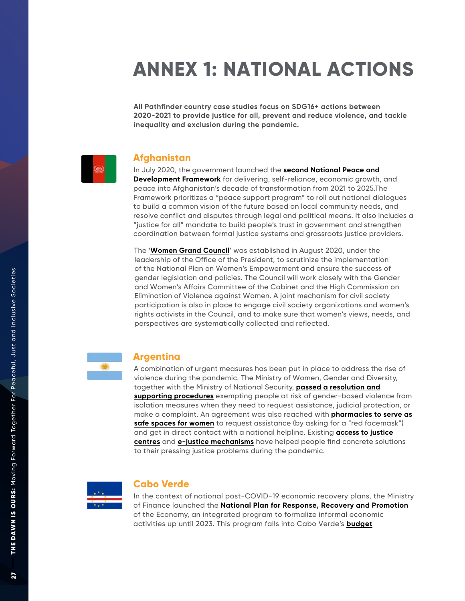## **ANNEX 1: NATIONAL ACTION S**

**All Pathfinder country case studies focus on SDG16+ actions between 2020-2021 to provide justice for all, prevent and reduce violence, and tackle inequality and exclusion during the pandemic.** 



### **Afghanistan**

In July 2020, the government launched the **[second National Peace and](https://sustainabledevelopment.un.org/content/documents/27613Compilation_of_main_messages_for_the_2021_VNR.pdf)  [Development Framework](https://sustainabledevelopment.un.org/content/documents/27613Compilation_of_main_messages_for_the_2021_VNR.pdf)** for delivering, self-reliance, economic growth, and peace into Afghanistan 's decade of transformation from 2021 to 2025 .The Framework prioritizes a "peace support program" to roll out national dialogues to build a common vision of the future based on local community needs, and resolve conflict and disputes through legal and political means. It also includes a "justice for all" mandate to build people's trust in government and strengthen coordination between formal justice systems and grassroots justice providers.

The '**[Women Grand Council](https://ogpa.gov.af/storage/uploads/reports/0/111617001767.pdf)**' was established in August 2020, under the leadership of the Office of the President, to scrutinize the implementation of the National Plan on Women 's Empowerment and ensure the success of gender legislation and policies. The Council will work closely with the Gender and Women 's Affairs Committee of the Cabinet and the High Commission on Elimination of Violence against Women. A joint mechanism for civil society participation is also in place to engage civil society organizations and women 's rights activists in the Council, and to make sure that women 's views, needs, and perspectives are systematically collected and reflected.



### **Argentina**

A combination of urgent measures has been put in place to address the rise of violence during the pandemic. The Ministry of Women, Gender and Diversity, together with the Ministry of National Security, **passed a resolution supporting procedures** exempting people at risk of gender-based violence from isolation measures when they need to request [assistance, judicial prote](https://www.argentina.gob.ar/generos/medidas-en-materia-de-genero-y-diversidad-en-el-marco-de-la-emergencia-sanitaria)ction, or [make a complaint. An agreement was also reached with](https://www.boletinoficial.gob.ar/detalleAviso/primera/227462/2020200405 ) **pharmacies to serve as safe spaces for women** to request assistance (by asking for a "red facemask") and get in direct contact with [a national help](https://www.boletinoficial.gob.ar/detalleAviso/primera/227462/2020200405 )line. Existing **access to justice centres** and **e-justice mechanisms** [have helped people find concrete soluti](https://www.oecd.org/governance/global-roundtables-access-to-justice/access-to-justice-compendium-of-country-practices.pdf)ons to their pressing justice problems during the pandemic.



### **Cabo Verde**

In the context of national post-COVID-19 economic recovery plans, the Ministry of Finance launched the **National Plan for Response, Recovery and [Promotion](https://inforpress.cv/covid-19-plano-de-recuperacao-com-aposta-forte-na-diversificacao-da-economia/)** of the Economy, an integrated program to formalize informal economic activities up until 2023. This prog[ram falls into Cabo Verde](https://inforpress.cv/covid-19-plano-de-recuperacao-com-aposta-forte-na-diversificacao-da-economia/) 's **budget**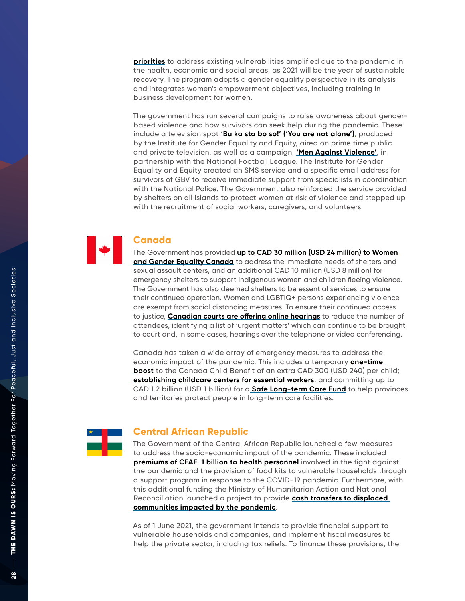**[priorities](https://sustainabledevelopment.un.org/content/documents/27613Compilation_of_main_messages_for_the_2021_VNR.pdf)** to address existing vulnerabilities amplified due to the pandemic in the health, economic and social areas, as 2021 will be the year of sustainable recovery. The program adopts a gender equality perspective in its analysis and integrates women's empowerment objectives, including training in business development for women.

The government has run several campaigns to raise awareness about genderbased violence and how survivors can seek help during the pandemic. These include a television spot **['Bu ka sta bo so!' \('You are not alone'\)](https://www.undp.org/sites/g/files/zskgke326/files/2021-06/UNDP-UNWomen-COVID19-Global-Regional-Factsheet-2020-EN.pdf)**, produced by the Institute for Gender Equality and Equity, aired on prime time public and private television, as well as a campaign, **['Men Against Violence'](https://www.undp.org/sites/g/files/zskgke326/files/2021-06/UNDP-UNWomen-COVID19-Global-Regional-Factsheet-2020-EN.pdf)**, in partnership with the National Football League. The Institute for Gender Equality and Equity created an SMS service and a specific email address for survivors of GBV to receive immediate support from specialists in coordination with the National Police. The Government also reinforced the service provided by shelters on all islands to protect women at risk of violence and stepped up with the recruitment of social workers, caregivers, and volunteers.

## **Canada**

The Government has provided **[up to CAD 30 million \(USD 24 million\) to Women](http://up to CAD 30 million (USD 24 million) to Women and Gender Equality Canada)  [and Gender Equality Canada](http://up to CAD 30 million (USD 24 million) to Women and Gender Equality Canada)** to address the immediate needs of shelters and sexual assault centers, and an additional CAD 10 million (USD 8 million) for emergency shelters to support Indigenous women and children fleeing violence. The Government has also deemed shelters to be essential services to ensure their continued operation. Women and LGBTIQ+ persons experiencing violence are exempt from social distancing measures. To ensure their continued access to justice, **[Canadian courts are offering online hearings](https://bf889554-6857-4cfe-8d55-8770007b8841.filesusr.com/ugd/6c192f_c5e1d5d3515e443dabde708e9221a3cb.pdf)** to reduce the number of attendees, identifying a list of 'urgent matters' which can continue to be brought to court and, in some cases, hearings over the telephone or video conferencing.

Canada has taken a wide array of emergency measures to address the economic impact of the pandemic. This includes a temporary **[one-time](https://www.cbc.ca/news/politics/canada-child-benefit-300-one-time-payment-1.5576931)  [boost](https://www.cbc.ca/news/politics/canada-child-benefit-300-one-time-payment-1.5576931)** to the Canada Child Benefit of an extra CAD 300 (USD 240) per child; **[establishing childcare centers for essential workers](https://childcarecanada.org/resources/issue-files/child-care-and-covid-19-canada/emergency-child-care-essential-workers)**; and committing up to CAD 1.2 billion (USD 1 billion) for a **[Safe Long-term Care Fund](https://ipolitics.ca/2020/11/30/ottawa-promises-1-billion-for-provinces-to-improve-long-term-care/)** to help provinces and territories protect people in long-term care facilities.



### **Central African Republic**

The Government of the Central African Republic launched a few measures to address the socio-economic impact of the pandemic. These included **[premiums of CFAF 1 billion to health personnel](https://documents1.worldbank.org/curated/en/281531621024684216/pdf/Social-Protection-and-Jobs-Responses-to-COVID-19-A-Real-Time-Review-of-Country-Measures-May-14-2021.pdf)** involved in the fight against the pandemic and the provision of food kits to vulnerable households through a support program in response to the COVID-19 pandemic. Furthermore, with this additional funding the Ministry of Humanitarian Action and National Reconciliation launched a project to provide **[cash transfers to displaced](https://www.reconciliation.gouv.cf/projet/13/pacad)  [communities impacted by the pandemic](https://www.reconciliation.gouv.cf/projet/13/pacad)**.

As of 1 June 2021, the government intends to provide financial support to vulnerable households and companies, and implement fiscal measures to help the private sector, including tax reliefs. To finance these provisions, the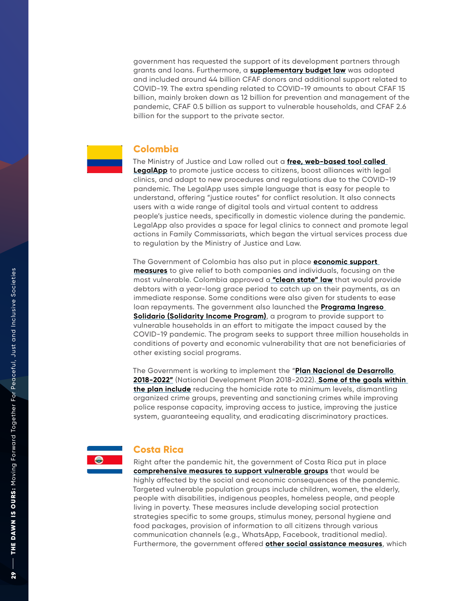government has requested the support of its development partners through grants and loans. Furthermore, a **[supplementary budget law](https://www.imf.org/en/Topics/imf-and-COVID19/Policy-Responses-to-COVID-19#B)** was adopted and included around 44 billion CFAF donors and additional support related to COVID-19. The extra spending related to COVID-19 amounts to about CFAF 15 billion, mainly broken down as 12 billion for prevention and management of the pandemic, CFAF 0.5 billion as support to vulnerable households, and CFAF 2.6 billion for the support to the private sector.

### **Colombia**

The Ministry of Justice and Law rolled out a **[free, web-based tool called](https://worldjusticeproject.org/world-justice-challenge-2021/legalapp)**  [LegalApp](https://worldjusticeproject.org/world-justice-challenge-2021/legalapp) to promote justice access to citizens, boost alliances with legal clinics, and adapt to new procedures and regulations due to the COVID-19 pandemic. The LegalApp uses simple language that is easy for people to understand, offering "justice routes" for conflict resolution. It also connects users with a wide range of digital tools and virtual content to address people's justice needs, specifically in domestic violence during the pandemic. LegalApp also provides a space for legal clinics to connect and promote legal actions in Family Commissariats, which began the virtual services process due to regulation by the Ministry of Justice and Law.

The Government of Colombia has also put in place **[economic support](https://www.oecd.org/coronavirus/policy-responses/covid-19-in-latin-america-and-the-caribbean-an-overview-of-government-responses-to-the-crisis-0a2dee41/#component-d1e4974)  [measures](https://www.oecd.org/coronavirus/policy-responses/covid-19-in-latin-america-and-the-caribbean-an-overview-of-government-responses-to-the-crisis-0a2dee41/#component-d1e4974)** to give relief to both companies and individuals, focusing on the most vulnerable. Colombia approved a **["clean state" law](https://www.oecd.org/coronavirus/policy-responses/covid-19-in-latin-america-and-the-caribbean-an-overview-of-government-responses-to-the-crisis-0a2dee41/#component-d1e4974)** that would provide debtors with a year-long grace period to catch up on their payments, as an immediate response. Some conditions were also given for students to ease loan repayments. The government also launched the **[Programa Ingreso](https://ingresosolidario.prosperidadsocial.gov.co/)  [Solidario \(Solidarity Income Program\)](https://ingresosolidario.prosperidadsocial.gov.co/)**, a program to provide support to vulnerable households in an effort to mitigate the impact caused by the COVID-19 pandemic. The program seeks to support three million households in conditions of poverty and economic vulnerability that are not beneficiaries of other existing social programs.

The Government is working to implement the "**[Plan Nacional de Desarrollo](https://sustainabledevelopment.un.org/content/documents/27613Compilation_of_main_messages_for_the_2021_VNR.pdf)  [2018-2022"](https://sustainabledevelopment.un.org/content/documents/27613Compilation_of_main_messages_for_the_2021_VNR.pdf)** (National Development Plan 2018-2022). **[Some of the goals within](https://colaboracion.dnp.gov.co/CDT/Prensa/Resumen-PND2018-2022-final.pdf)  [the plan include](https://colaboracion.dnp.gov.co/CDT/Prensa/Resumen-PND2018-2022-final.pdf)** reducing the homicide rate to minimum levels, dismantling organized crime groups, preventing and sanctioning crimes while improving police response capacity, improving access to justice, improving the justice system, guaranteeing equality, and eradicating discriminatory practices.



### **Costa Rica**

Right after the pandemic hit, the government of Costa Rica put in place **[comprehensive measures to support vulnerable groups](https://www.presidencia.go.cr/comunicados/2020/03/gobierno-presentamedidas-de-primera-respuesta-en-materia-de-proteccion-social/)** that would be highly affected by the social and economic consequences of the pandemic. Targeted vulnerable population groups include children, women, the elderly, people with disabilities, indigenous peoples, homeless people, and people living in poverty. These measures include developing social protection strategies specific to some groups, stimulus money, personal hygiene and food packages, provision of information to all citizens through various communication channels (e.g., WhatsApp, Facebook, traditional media). Furthermore, the government offered **[other social assistance measures](https://costaricamedios.cr/2020/04/15/la-ccss-redujo-en-25-la-base-minima-contributiva-del-seguro-de-salud-y-pensiones-por-los-proximos-tres-meses/)**, which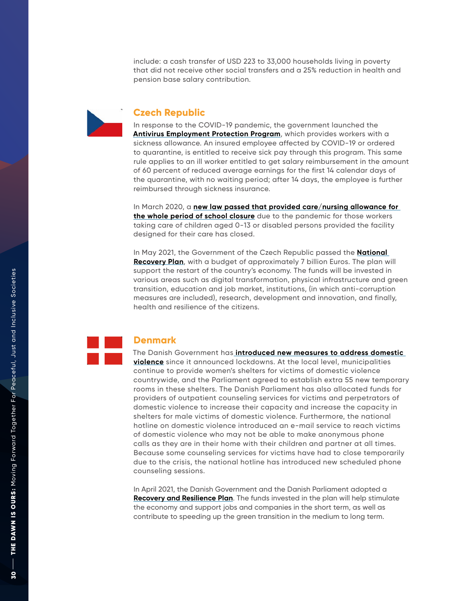include: a cash transfer of USD 223 to 33,000 households living in poverty that did not receive other social transfers and a 25% reduction in health and pension base salary contribution.



### **Czech Republic**

In response to the COVID-19 pandemic, the government launched the **[Antivirus Employment Protection Program](https://www.bakermckenzie.com/en/insight/publications/2020/04/czech-republic-update-on-antivirus)**, which provides workers with a sickness allowance. An insured employee affected by COVID-19 or ordered to quarantine, is entitled to receive sick pay through this program. This same rule applies to an ill worker entitled to get salary reimbursement in the amount of 60 percent of reduced average earnings for the first 14 calendar days of the quarantine, with no waiting period; after 14 days, the employee is further reimbursed through sickness insurance.

In March 2020, a **[new law passed that provided care/nursing allowance for](https://documents1.worldbank.org/curated/en/467521607723220511/pdf/Social-Protection-and-Jobs-Responses-to-COVID-19-A-Real-Time-Review-of-Country-Measures-December-11-2020.pdf)  [the whole period of school closure](https://documents1.worldbank.org/curated/en/467521607723220511/pdf/Social-Protection-and-Jobs-Responses-to-COVID-19-A-Real-Time-Review-of-Country-Measures-December-11-2020.pdf)** due to the pandemic for those workers taking care of children aged 0-13 or disabled persons provided the facility designed for their care has closed.

In May 2021, the Government of the Czech Republic passed the **[National](https://www.vlada.cz/en/media-centrum/aktualne/government-approved-proposal-of-national-recovery-plan-for-nearly-200-billion--agreed-with-further-easement-of-epidemic-control-measures-188479/)  [Recovery Plan](https://www.vlada.cz/en/media-centrum/aktualne/government-approved-proposal-of-national-recovery-plan-for-nearly-200-billion--agreed-with-further-easement-of-epidemic-control-measures-188479/)**, with a budget of approximately 7 billion Euros. The plan will support the restart of the country's economy. The funds will be invested in various areas such as digital transformation, physical infrastructure and green transition, education and job market, institutions, (in which anti-corruption measures are included), research, development and innovation, and finally, health and resilience of the citizens.

## **Denmark**

The Danish Government has **[introduced new measures to address domestic](https://www.coe.int/en/web/genderequality/promoting-and-protecting-women-s-rights#{%2263001324%22:[11]})  [violence](https://www.coe.int/en/web/genderequality/promoting-and-protecting-women-s-rights#{%2263001324%22:[11]})** since it announced lockdowns. At the local level, municipalities continue to provide women's shelters for victims of domestic violence countrywide, and the Parliament agreed to establish extra 55 new temporary rooms in these shelters. The Danish Parliament has also allocated funds for providers of outpatient counseling services for victims and perpetrators of domestic violence to increase their capacity and increase the capacity in shelters for male victims of domestic violence. Furthermore, the national hotline on domestic violence introduced an e-mail service to reach victims of domestic violence who may not be able to make anonymous phone calls as they are in their home with their children and partner at all times. Because some counseling services for victims have had to close temporarily due to the crisis, the national hotline has introduced new scheduled phone counseling sessions.

In April 2021, the Danish Government and the Danish Parliament adopted a **[Recovery and Resilience Plan](https://en.fm.dk/media/18774/denmarks-recovery-and-resilience-plan-accelerating-the-green-transition_web.pdf)**. The funds invested in the plan will help stimulate the economy and support jobs and companies in the short term, as well as contribute to speeding up the green transition in the medium to long term.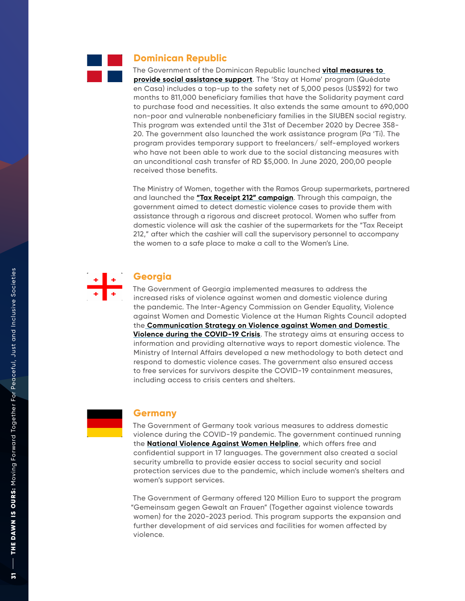

### **Dominican Republic**

The Government of the Dominican Republic launched **[vital measures to](https://documents1.worldbank.org/curated/en/281531621024684216/pdf/Social-Protection-and-Jobs-Responses-to-COVID-19-A-Real-Time-Review-of-Country-Measures-May-14-2021.pdf)  [provide social assistance](https://documents1.worldbank.org/curated/en/281531621024684216/pdf/Social-Protection-and-Jobs-Responses-to-COVID-19-A-Real-Time-Review-of-Country-Measures-May-14-2021.pdf) support**. The 'Stay at Home' program (Quédate en Casa) includes a top-up to the safety net of 5,000 pesos (US\$92) for two months to 811,000 beneficiary families that have the Solidarity payment card to purchase food and necessities. It also extends the same amount to 690,000 non-poor and vulnerable nonbeneficiary families in the SIUBEN social registry. This program was extended until the 31st of December 2020 by Decree 358- 20. The government also launched the work assistance program (Pa 'Ti). The program provides temporary support to freelancers/ self-employed workers who have not been able to work due to the social distancing measures with an unconditional cash transfer of RD \$5,000. In June 2020, 200,00 people received those benefits.

The Ministry of Women, together with the Ramos Group supermarkets, partnered and launched the **["Tax Receipt 212" campaign](http://gov.ge/files/41_76497_133739_COVIDRESPONSEREPORTGoG_ENG.pdf)**. Through this campaign, the government aimed to detect domestic violence cases to provide them with assistance through a rigorous and discreet protocol. Women who suffer from domestic violence will ask the cashier of the supermarkets for the "Tax Receipt 212," after which the cashier will call the supervisory personnel to accompany the women to a safe place to make a call to the Women's Line.



### **Georgia**

The Government of Georgia implemented measures to address the increased risks of violence against women and domestic violence during the pandemic. The Inter-Agency Commission on Gender Equality, Violence against Women and Domestic Violence at the Human Rights Council adopted the **[Communication Strategy on Violence against Women and Domestic](http:// Communication Strategy on Violence against Women and Domestic Violence during the COVID-19 Crisis)  [Violence during the COVID-19 Crisis](http:// Communication Strategy on Violence against Women and Domestic Violence during the COVID-19 Crisis)**. The strategy aims at ensuring access to information and providing alternative ways to report domestic violence. The Ministry of Internal Affairs developed a new methodology to both detect and respond to domestic violence cases. The government also ensured access to free services for survivors despite the COVID-19 containment measures, including access to crisis centers and shelters.



### **Germany**

The Government of Germany took various measures to address domestic violence during the COVID-19 pandemic. The government continued running the **[National Violence Against Women Helpline](https://www.coe.int/en/web/genderequality/promoting-and-protecting-women-s-rights#%7B%2263001324%22:%5B16)**, which offers free and confidential support in 17 languages. The government also created a social security umbrella to provide easier access to social security and social protection services due to the pandemic, which include women's shelters and women's support services.

The Government of Germany offered 120 Million Euro to support the program ["Gemeinsam gegen Gewalt an Frauen"](https://www.bmfsfj.de/bmfsfj/aktuelles/alle-meldungen/gemeinsam-gegen-gewalt-an-frauen-neues-investitonsprogramm-startet--148088) (Together against violence towards women) for the 2020-2023 period. This program supports the expansion and further development of aid services and facilities for women affected by violence.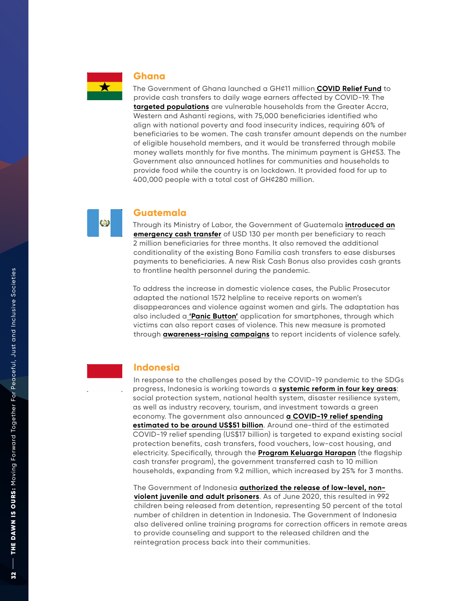

### **Ghana**

The Government of Ghana launched a GH¢11 million **[COVID Relief Fund](https://documents1.worldbank.org/curated/en/467521607723220511/pdf/Social-Protection-and-Jobs-Responses-to-COVID-19-A-Real-Time-Review-of-Country-Measures-December-11-2020.pdf)** to provide cash transfers to daily wage earners affected by COVID-1 9. The **[targeted populations](https://m.peacefmonline.com/pages/local/news/202010/429481.php)** are vulnerable households from the Greater Accra, Western and Ashanti regions, with 75,000 beneficiaries identified who align with national poverty and food insecurity indices, requiring 60% of beneficiaries to be women. The cash transfer amount depends on the number of eligible household members, and it would be transferred through mobile money wallets monthly for five months. The minimum payment is GH¢53. The Government also announced hotlines for communities and households to provide food while the country is on lockdown. It provided food for up to 400,000 people with a total cost of GH¢280 million.



### **Guatemala**

Through its Ministry of Labor, the Government of Guatemala **[introduced an](https://home.kpmg/xx/en/home/insights/2020/04/indonesia-government-and-institution-measures-in-response-to-covid.html) [emergency cash transfer](https://home.kpmg/xx/en/home/insights/2020/04/indonesia-government-and-institution-measures-in-response-to-covid.html)** of USD 130 per month per beneficiary to reach 2 million beneficiaries for three months. It also removed the additional conditionality of the existing Bono Familia cash transfers to ease disburses payments to beneficiaries. A new Risk Cash Bonus also provides cash grants to frontline health personnel during the pandemic.

To address the increase in domestic violence cases, the Public Prosecutor adapted the national 1572 helpline to receive reports on women's disappearances and violence against women and girls. The adaptation has also included a **['Panic Button'](http:// ‘Panic Button’ )** application for smartphones, through which victims can also report cases of violence. This new measure is promoted through **[awareness-raising campaigns](http://awareness-raising campaigns)** to report incidents of violence safely.

### **Indonesia**

In response to the challenges posed by the COVID-19 pandemic to the SDGs progress, Indonesia is working towards a <mark>systemic reform in four key areas</mark>:<br>social protection system, national health system, disaster resilience system, as well as industry recover y, tourism, and investment towards a green econom y . The government also announced **[a COVID-19 relief spending](http://a COVID-19 relief spending estimated to be around US$51 billion)  estimated to [be around US\\$51 billion](http://a COVID-19 relief spending estimated to be around US$51 billion)**. Around one-third of the estimated COVID-19 relief spending (US\$17 billion) is targeted to expand existing social protection benefits, cash transfers, food vouchers, low-cost housing, and electricity. Specifically, through the [Program Keluarga Harapan](https://documents1.worldbank.org/curated/en/281531621024684216/pdf/Social-Protection-and-Jobs-Responses-to-COVID-19-A-Real-Time-Review-of-Country-Measures-May-14-2021.pdf) (the flagship cash transfer program), the government transferred cash to 10 million households, expanding from 9.2 million, which increased by 25% for 3 months.

The Government of Indonesia **authorized the release of low-level, nonviolent [juvenile and adult prisoners](https://www.unicef.org/media/92251/file/Access-to-Justice-COVID-19-Field-Notes-2021.pdf )**. As of June 2020, this resulted in 992 children being released from [detention, representing 50 percent of the total](https://www.unicef.org/media/92251/file/Access-to-Justice-COVID-19-Field-Notes-2021.pdf )  number of children in detention in Indonesia. The Government of Indonesia also delivered online training programs for correction officers in remote areas to provide counseling and support to the released children and the reintegration process back into their communities.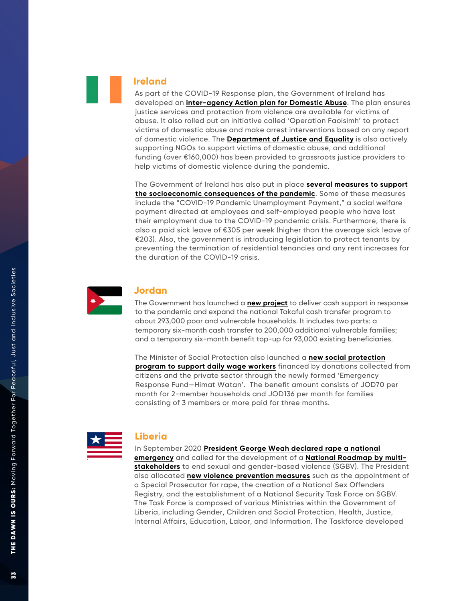### **Ireland**

As part of the COVID-19 Response plan, the Government of Ireland has developed an **[inter-agency Action plan for Domestic Abuse](https://www.coe.int/en/web/genderequality/promoting-and-protectin g-women-s-rights#{%2263001324%22:[19]})**. The plan ensures justice services and protection from violence are available for victims of abuse. It also rolled out an initiative called 'Operation Faoisimh' to protect victims of domestic abuse and make arrest interventions based on any report of domestic violence. The **[Department of Justice and Equality](https://www.coe.int/en/web/genderequality/promoting-and-protectin g-women-s-rights#{%2263001324%22:[19]})** is also actively supporting NGOs to support victims of domestic abuse, and additional funding (over €160,000) has been provided to grassroots justice providers to help victims of domestic violence during the pandemic.

The Government of Ireland has also put in place **several measures to support the socioeconomic consequences of the pandemic**. Some of these measures include the "COVID-19 Pandemic Unemploymen[t Payment," a social welfare](https://documents1.worldbank.org/curated/en/281531621024684216/pdf/Social-Protection-and-Jobs-Responses-to-COVID-19-A-Real-Time-Review-of-Country-Measures-May-14-2021.pdf )  payment directed at employees and self-employed people who have lost their employment due to the COVID-19 pandemic crisis. Furthermore, there is also a paid sick leave of €305 per week (higher than t he average sick leave of €203). Also, the government is introducing legislation to protect tenants by preventing the termination of residential tenancies and any rent increases for the duration of the COVID-19 crisis.



### **Jordan**

The Government has launched a **[new project](https://documents1.worldbank.org/curated/en/467521607723220511/pdf/Social-Protection-and-Jobs-Responses-to-COVID-19-A-Real-Time-Review-of-Country-Measures-December-11-2020.pdf )** to deliver cash support in response to the pandemic and expand the national Takaful cash transfer program to about 293,000 poor and vulnerable households. It includes two parts: a temporary six-month cash transfer to 200,000 additional vulnerable families; and a temporary six-month benefit top-up for 93,000 existing beneficiaries.

The Minister of Social Protection also launched a **new social protection [program to support daily wage workers](https://documents1.worldbank.org/curated/en/467521607723220511/pdf/Social-Protection-and-Jobs-Responses-to-COVID-19-A-Real-Time-Review-of-Country-Measures-December-11-2020.pdf )** financed by donations collected from citizens and the private sector through the newl[y formed 'Emergency](https://documents1.worldbank.org/curated/en/467521607723220511/pdf/Social-Protection-and-Jobs-Responses-to-COVID-19-A-Real-Time-Review-of-Country-Measures-December-11-2020.pdf )  Response Fund—Himat Watan'. The benefit amount consists of JOD70 per month for 2-member households and JOD136 per month for families consisting of 3 members or more paid for three months.



### **Liberia**

In September 2020 **President George Weah declared rape a national [emergency](https://au.int/sites/default/files/documents/39878-doc-final-final-policy_paper-_gbv_in_africa_during_covid-19_pandemic.pdf)** and called for the development of a **[National Roadmap by multi](https://au.int/sites/default/files/documents/39878-doc-final-final-policy_paper-_gbv_in_africa_during_covid-19_pandemic.pdf)[stakeholders](https://au.int/sites/default/files/documents/39878-doc-final-final-policy_paper-_gbv_in_africa_during_covid-19_pandemic.pdf)** to en[d sexual and gender-based violence \(SGBV\). The P](https://au.int/sites/default/files/documents/39878-doc-final-final-policy_paper-_gbv_in_africa_during_covid-19_pandemic.pdf)resident also allocated **[new violence prevention measures](https://frontpageafricaonline.com/front-slider/liberia-days-after-anti-rape-protest-govt-unveils-us6m-road-map-to-curb-sgvb-by-2022/)** such as the appointment of a Special Prosecutor for rape, the creation of a National Sex Offenders Registr y, and the establishment of a National Security Task Force on SGB V. The Task Force is composed of various Ministries within the Government of Liberia, including Gender, Children and Social Protection, Health, Justice, Internal Affairs, Education, Labor, and Information. The Taskforce developed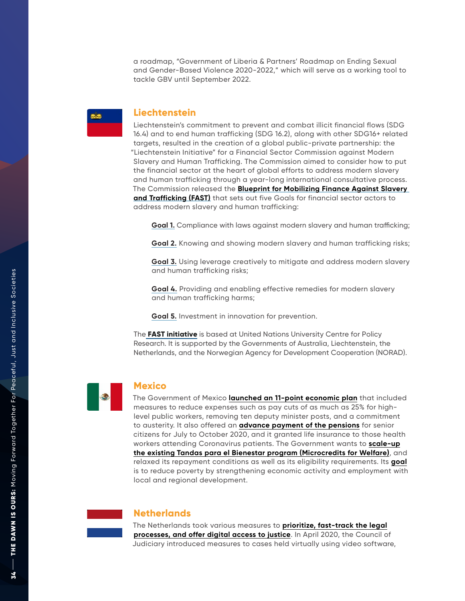a roadmap, "Government of Liberia & Partners' Roadmap on Ending Sexual and Gender-Based Violence 2020-2022," which will serve as a working tool to tackle GBV until September 2022.

### **Liechtenstein**

Liechtenstein's commitment to prevent and combat illicit financial flows (SDG 16.4) and to end human trafficking (SDG 16.2), along with other SDG16+ related targets, resulted in the creation of a global public-private partnership: the "Liechtenstein Initiative" for a Financial Sector Commission against Modern Slavery and Human Trafficking. The Commission aimed to consider how to put the financial sector at the heart of global efforts to address modern slavery and human trafficking through a year-long international consultative process. The Commission released the **Blueprint [for Mobilizing Finance Against Slavery](https://www.fastinitiative.org/the-blueprint/)  [and Trafficking \(FAST\)](https://www.fastinitiative.org/the-blueprint/)** that sets out five Goals for financial sector actors to address modern slavery and human trafficking:

**[Goal 1](https://www.fastinitiative.org/the-blueprint/goal1/) .** Compliance with laws against modern slavery and human trafficking;

**[Goal 2](https://www.fastinitiative.org/the-blueprint/goal2/) .** Knowing and showing modern slavery and human trafficking risks;

**[Goal 3](https://www.fastinitiative.org/the-blueprint/goal3/) .** Using leverage creatively to mitigate and address modern slavery and human trafficking risks;

**[Goal 4](https://www.fastinitiative.org/the-blueprint/goal4/) .** Providing and enabling effective remedies for modern slavery and human trafficking harms;

**[Goal 5](https://www.fastinitiative.org/the-blueprint/goal5/) .** Investment in innovation for prevention.

The **[FAST initiative](https://www.fastinitiative.org/)** is based at United Nations University Centre for Policy Research. It is supported by the Governments of Australia, Liechtenstein, the Netherlands, and the Norwegian Agency for Development Cooperation (NORAD).



### **Mexico**

The Government of Mexico **[launched an 11-point economic plan](https://documents1.worldbank.org/curated/en/281531621024684216/pdf/Social-Protection-and-Jobs-Responses-to-COVID-19-A-Real-Time-Review-of-Country-Measures-May-14-2021.pdf)** that included measures to reduce expenses such as pay cuts of as much as 25% for highlevel public workers, removing ten deputy minister posts, and a commitment to austerit y. It also offered an **[advance payment of the pensions](http://advance payment of the pensions)** for senior citizens for July to October 2020, and it granted life insurance to those health workers attending Coronavirus patients. The Government wants to **[scale-up](https://documents1.worldbank.org/curated/en/281531621024684216/pdf/Social-Protection-and-Jobs-Responses-to-COVID-19-A-Real-Time-Review-of-Country-Measures-May-14-2021.pdf) the existing [Tandas para el Bienestar program \(Microcredits for Welfare\)](https://documents1.worldbank.org/curated/en/281531621024684216/pdf/Social-Protection-and-Jobs-Responses-to-COVID-19-A-Real-Time-Review-of-Country-Measures-May-14-2021.pdf)**, and relaxed its repayment conditions as well as its eligibility requirements. Its **[goal](http://www.tandasparaelbienestar.economia.gob.mx/ )** is to reduce poverty by strengthening economic activity and employment with local and regional development.



### **Netherlands**

The Netherlands took various measures to **[prioritize, fast-track the legal](https://www.rijksoverheid.nl/documenten/rapporten/2021/03/19/rule-of-law-report-2021-input-from-the-netherlands) [processes, and offer digital access to justice](https://www.rijksoverheid.nl/documenten/rapporten/2021/03/19/rule-of-law-report-2021-input-from-the-netherlands)**. In April 2020, the Council of Judiciary introduced measures to cases held virtually using video software,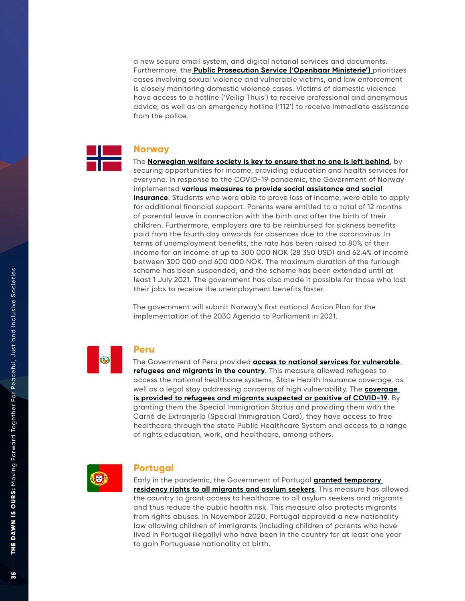a new secure email system, and digital notarial services and documents. Furthermore, the **[Public Prosecution Service \('Openbaar Ministerie'\)](https://www.coe.int/en/web/genderequality/promoting-and-protecting-women-s-rights#{%2263001324%22:[28]})** prioritizes cases involving sexual violence and vulnerable victims, and law enforcement is closely monitoring domestic violence cases. Victims of domestic violence have access to a hotline ('Veilig Thuis') to receive professional and anonymous advice, as well as an emergency hotline ('112') to receive immediate assistance from the police.

## **Norway**

The **[Norwegian welfare society is key to ensure that no one is left behind](https://sustainabledevelopment.un.org/content/documents/27613Compilation_of_main_messages_for_the_2021_VNR.pdf)**, by securing opportunities for income, providing education and health services for everyone. In response to the COVID-19 pandemic, the Government of Norway implemented **[various measures to provide social assistance and social](https://documents1.worldbank.org/curated/en/281531621024684216/pdf/Social-Protection-and-Jobs-Responses-to-COVID-19-A-Real-Time-Review-of-Country-Measures-May-14-2021.pdf)  [insurance](https://documents1.worldbank.org/curated/en/281531621024684216/pdf/Social-Protection-and-Jobs-Responses-to-COVID-19-A-Real-Time-Review-of-Country-Measures-May-14-2021.pdf)**. Students who were able to prove loss of income, were able to apply for additional financial support. Parents were entitled to a total of 12 months of parental leave in connection with the birth and after the birth of their children. Furthermore, employers are to be reimbursed for sickness benefits paid from the fourth day onwards for absences due to the coronavirus. In terms of unemployment benefits, the rate has been raised to 80% of their income for an income of up to 300 000 NOK (28 350 USD) and 62.4% of income between 300 000 and 600 000 NOK. The maximum duration of the furlough scheme has been suspended, and the scheme has been extended until at least 1 July 2021. The government has also made it possible for those who lost their jobs to receive the unemployment benefits faster.

The government will submit Norway's first national Action Plan for the implementation of the 2030 Agenda to Parliament in 2021.



### **Peru**

The Government of Peru provided **[access to national services for vulnerable](https://www.un.org/sites/un2.un.org/files/sg_policy_brief_on_universal_health_coverage.pdf)  [refugees and migrants in the country](https://www.un.org/sites/un2.un.org/files/sg_policy_brief_on_universal_health_coverage.pdf)**. This measure allowed refugees to access the national healthcare systems, State Health Insurance coverage, as well as a legal stay addressing concerns of high vulnerability. The **[coverage](https://globalcompactrefugees.org/article/access-national-services-vulnerable-refugees-peru)  [is provided to refugees and migrants suspected or positive of COVID-19](https://globalcompactrefugees.org/article/access-national-services-vulnerable-refugees-peru)**. By granting them the Special Immigration Status and providing them with the Carné de Extranjería (Special Immigration Card), they have access to free healthcare through the state Public Healthcare System and access to a range of rights education, work, and healthcare, among others.



### **Portugal**

Early in the pandemic, the Government of Portugal **[granted temporary](https://www.schengenvisainfo.com/news/portugal-grants-migrants-and-asylum-seekers-full-citizenship-rights-during-covid-19/)  [residency rights to all migrants and asylum seekers](https://www.schengenvisainfo.com/news/portugal-grants-migrants-and-asylum-seekers-full-citizenship-rights-during-covid-19/)**. This measure has allowed the country to grant access to healthcare to all asylum seekers and migrants and thus reduce the public health risk. This measure also protects migrants from rights abuses. In November 2020, Portugal approved a new nationality law allowing children of immigrants (including children of parents who have lived in Portugal illegally) who have been in the country for at least one year to gain Portuguese nationality at birth.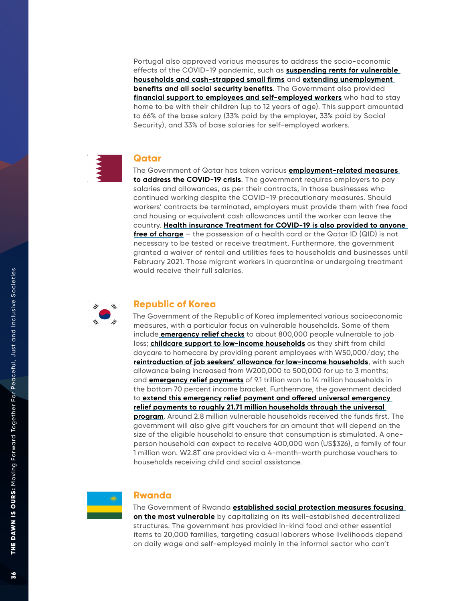Portugal also approved various measures to address the socio-economic effects of the COVID-19 pandemic, such as **[suspending rents for vulnerable](https://www.insider.com/portugal-suspends-rents-worries-surface-over-post-pandemic-housing-crisis-2020-4)  [households and cash-strapped small firms](https://www.insider.com/portugal-suspends-rents-worries-surface-over-post-pandemic-housing-crisis-2020-4)** and **[extending unemployment](https://www.insider.com/portugal-suspends-rents-worries-surface-over-post-pandemic-housing-crisis-2020-4)  [benefits and all social security benefits](https://www.insider.com/portugal-suspends-rents-worries-surface-over-post-pandemic-housing-crisis-2020-4)**. The Government also provided **[financial support to employees and self-employed workers](http://financial support to employees and self-employed workers)** who had to stay home to be with their children (up to 12 years of age). This support amounted to 66% of the base salary (33% paid by the employer, 33% paid by Social Security), and 33% of base salaries for self-employed workers.

### **Qatar**

The Government of Qatar has taken various **[employment-related measures](https://documents1.worldbank.org/curated/en/467521607723220511/pdf/Social-Protection-and-Jobs-Responses-to-COVID-19-A-Real-Time-Review-of-Country-Measures-December-11-2020.pdf)  [to address the COVID-19 crisis](https://documents1.worldbank.org/curated/en/467521607723220511/pdf/Social-Protection-and-Jobs-Responses-to-COVID-19-A-Real-Time-Review-of-Country-Measures-December-11-2020.pdf)**. The government requires employers to pay salaries and allowances, as per their contracts, in those businesses who continued working despite the COVID-19 precautionary measures. Should workers' contracts be terminated, employers must provide them with free food and housing or equivalent cash allowances until the worker can leave the country. **[Health insurance Treatment for COVID-19 is also provided to anyone](http://Health insurance Treatment for COVID-19 is also provided to anyone free of charge)  [free of charge](http://Health insurance Treatment for COVID-19 is also provided to anyone free of charge)** – the possession of a health card or the Qatar ID (QID) is not necessary to be tested or receive treatment. Furthermore, the government granted a waiver of rental and utilities fees to households and businesses until February 2021. Those migrant workers in quarantine or undergoing treatment would receive their full salaries.



### **Republic of Korea**

The Government of the Republic of Korea implemented various socioeconomic measures, with a particular focus on vulnerable households. Some of them include **[emergency relief checks](https://documents1.worldbank.org/curated/en/281531621024684216/pdf/Social-Protection-and-Jobs-Responses-to-COVID-19-A-Real-Time-Review-of-Country-Measures-May-14-2021.pdf )** to about 800,000 people vulnerable to job loss; **[childcare support to low-income households](https://documents1.worldbank.org/curated/en/281531621024684216/pdf/Social-Protection-and-Jobs-Responses-to-COVID-19-A-Real-Time-Review-of-Country-Measures-May-14-2021.pdf )** as they shift from child daycare to homecare by providing parent employees with W50,000/day; the **[reintroduction of job seekers' allowance for low-income households](https://documents1.worldbank.org/curated/en/281531621024684216/pdf/Social-Protection-and-Jobs-Responses-to-COVID-19-A-Real-Time-Review-of-Country-Measures-May-14-2021.pdf )**, with such allowance being increased from W200,000 to 500,000 for up to 3 months; and **[emergency relief payments](https://documents1.worldbank.org/curated/en/281531621024684216/pdf/Social-Protection-and-Jobs-Responses-to-COVID-19-A-Real-Time-Review-of-Country-Measures-May-14-2021.pdf )** of 9.1 trillion won to 14 million households in the bottom 70 percent income bracket. Furthermore, the government decided to **[extend this emergency relief payment and offered universal emergency](https://documents1.worldbank.org/curated/en/467521607723220511/pdf/Social-Protection-and-Jobs-Responses-to-COVID-19-A-Real-Time-Review-of-Country-Measures-December-11-2020.pdf)  [relief payments to roughly 21.71 million households through the universal](https://documents1.worldbank.org/curated/en/467521607723220511/pdf/Social-Protection-and-Jobs-Responses-to-COVID-19-A-Real-Time-Review-of-Country-Measures-December-11-2020.pdf)  [program](https://documents1.worldbank.org/curated/en/467521607723220511/pdf/Social-Protection-and-Jobs-Responses-to-COVID-19-A-Real-Time-Review-of-Country-Measures-December-11-2020.pdf)**. Around 2.8 million vulnerable households received the funds first. The government will also give gift vouchers for an amount that will depend on the size of the eligible household to ensure that consumption is stimulated. A oneperson household can expect to receive 400,000 won (US\$326), a family of four 1 million won. W2.8T are provided via a 4-month-worth purchase vouchers to households receiving child and social assistance.



### **Rwanda**

The Government of Rwanda **[established social protection measures focusing](http://established social protection measures focusing on the most vulnerable)  [on the most vulnerable](http://established social protection measures focusing on the most vulnerable)** by capitalizing on its well-established decentralized structures. The government has provided in-kind food and other essential items to 20,000 families, targeting casual laborers whose livelihoods depend on daily wage and self-employed mainly in the informal sector who can't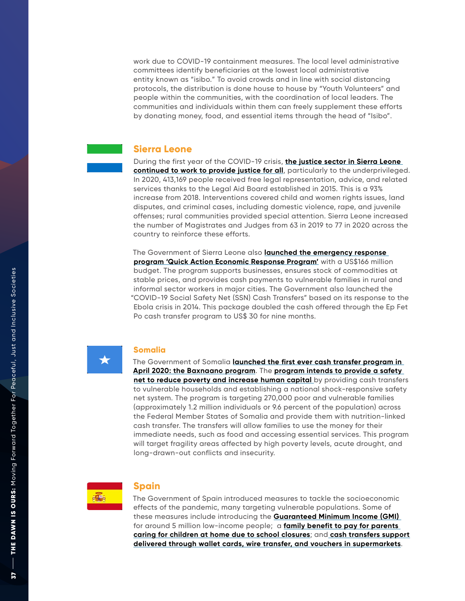work due to COVID-19 containment measures. The local level administrative committees identify beneficiaries at the lowest local administrative entity known as "isibo." To avoid crowds and in line with social distancing protocols, the distribution is done house to house by "Youth Volunteers" and people within the communities, with the coordination of local leaders. The communities and individuals within them can freely supplement these efforts by donating money, food, and essential items through the head of "Isibo".

### **Sierra Leone**

During the first year of the COVID-19 crisis, **[the justice sector in Sierra Leone](https://documents1.worldbank.org/curated/en/281531621024684216/pdf/Social-Protection-and-Jobs-Responses-to-COVID-19-A-Real-Time-Review-of-Country-Measures-May-14-2021.pdf)  [continued to work to provide justice for all](https://documents1.worldbank.org/curated/en/281531621024684216/pdf/Social-Protection-and-Jobs-Responses-to-COVID-19-A-Real-Time-Review-of-Country-Measures-May-14-2021.pdf)**, particularly to the underprivileged. In 2020, 413,169 people received free legal representation, advice, and related services thanks to the Legal Aid Board established in 2015. This is a 93% increase from 2018. Interventions covered child and women rights issues, land disputes, and criminal cases, including domestic violence, rape, and juvenile offenses; rural communities provided special attention. Sierra Leone increased the number of Magistrates and Judges from 63 in 2019 to 77 in 2020 across the country to reinforce these efforts.

The Government of Sierra Leone also **[launched the emergency response](http://launched the emergency response program “Quick Action Economic Response Program”)  [program 'Quick Action Economic Response Program](http://launched the emergency response program “Quick Action Economic Response Program”) '** with a US\$166 million budget. The program supports businesses, ensures stock of commodities at stable prices, and provides cash payments to vulnerable families in rural and informal sector workers in major cities. The Government also launched the "COVID-19 Social Safety Net (SSN) Cash Transfers" based on its response to the Ebola crisis in 2014. This package doubled the cash offered through the Ep Fet Po cash transfer program to US\$ 30 for nine months.



### **Somalia**

The Government of Somalia **[launched the first ever cash transfer program in](https://documents1.worldbank.org/curated/en/467521607723220511/pdf/Social-Protection-and-Jobs-Responses-to-COVID-19-A-Real-Time-Review-of-Country-Measures-December-11-2020.pdf)  [April 2020: the Baxnaano program](https://documents1.worldbank.org/curated/en/467521607723220511/pdf/Social-Protection-and-Jobs-Responses-to-COVID-19-A-Real-Time-Review-of-Country-Measures-December-11-2020.pdf)**. The **[program intends to provide a safety](http://program intends to provide a safety net to reduce poverty and increase human capita)  [net to reduce poverty and increase human capital](http://program intends to provide a safety net to reduce poverty and increase human capita)** by providing cash transfers to vulnerable households and establishing a national shock-responsive safety net system. The program is targeting 270,000 poor and vulnerable families (approximately 1.2 million individuals or 9.6 percent of the population) across the Federal Member States of Somalia and provide them with nutrition-linked cash transfer. The transfers will allow families to use the money for their immediate needs, such as food and accessing essential services. This program will target fragility areas affected by high poverty levels, acute drought, and long-drawn-out conflicts and insecurity.



### **Spain**

The Government of Spain introduced measures to tackle the socioeconomic effects of the pandemic, many targeting vulnerable populations. Some of these measures include introducing the **[Guaranteed Minimum Income \(GMI\)](http://Guaranteed Minimum Income (GMI) )**  for around 5 million low-income people; a **[family benefit to pay for parents](https://documents1.worldbank.org/curated/en/467521607723220511/pdf/Social-Protection-and-Jobs-Responses-to-COVID-19-A-Real-Time-Review-of-Country-Measures-December-11-2020.pdf)  [caring for children at home due to school closures](https://documents1.worldbank.org/curated/en/467521607723220511/pdf/Social-Protection-and-Jobs-Responses-to-COVID-19-A-Real-Time-Review-of-Country-Measures-December-11-2020.pdf)**; and **[cash transfers support](https://documents1.worldbank.org/curated/en/467521607723220511/pdf/Social-Protection-and-Jobs-Responses-to-COVID-19-A-Real-Time-Review-of-Country-Measures-December-11-2020.pdf)  [delivered through wallet cards, wire transfer, and vouchers in supermarkets](https://documents1.worldbank.org/curated/en/467521607723220511/pdf/Social-Protection-and-Jobs-Responses-to-COVID-19-A-Real-Time-Review-of-Country-Measures-December-11-2020.pdf)**.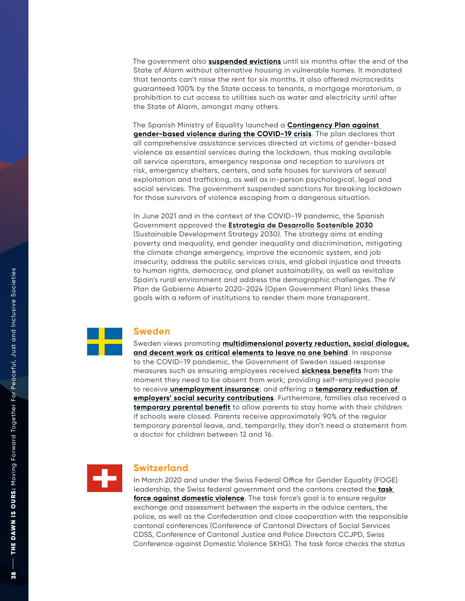The government also **[suspended evictions](https://documents1.worldbank.org/curated/en/467521607723220511/pdf/Social-Protection-and-Jobs-Responses-to-COVID-19-A-Real-Time-Review-of-Country-Measures-December-11-2020.pdf)** until six months after the end of the State of Alarm without alternative housing in vulnerable homes. It mandated that tenants can't raise the rent for six months. It also offered microcredits guaranteed 100% by the State access to tenants, a mortgage moratorium, a prohibition to cut access to utilities such as water and electricity until after the State of Alarm, amongst many others.

The Spanish Ministry of Equality launched a **[Contingency Plan against](https://www.agenda2030.gob.es/recursos/docs/informe-progreso21-eds-2030.pdf)  [gender-based violence during the COVID-19 crisis](https://www.agenda2030.gob.es/recursos/docs/informe-progreso21-eds-2030.pdf)**. The plan declares that all comprehensive assistance services directed at victims of gender-based violence as essential services during the lockdown, thus making available all service operators, emergency response and reception to survivors at risk, emergency shelters, centers, and safe houses for survivors of sexual exploitation and trafficking, as well as in-person psychological, legal and social services. The government suspended sanctions for breaking lockdown for those survivors of violence escaping from a dangerous situation.

In June 2021 and in the context of the COVID-19 pandemic, the Spanish Government approved the **[Estrategia de Desarrollo Sostenible 2030](https://www.agenda2030.gob.es/recursos/docs/informe-progreso21-eds-2030.pdf)** (Sustainable Development Strategy 2030). The strategy aims at ending poverty and inequality, end gender inequality and discrimination, mitigating the climate change emergency, improve the economic system, end job insecurity, address the public services crisis, end global injustice and threats to human rights, democracy, and planet sustainability, as well as revitalize Spain's rural environment and address the demographic challenges. The IV Plan de Gobierno Abierto 2020-2024 (Open Government Plan) links these goals with a reform of institutions to render them more transparent.



### **Sweden**

Sweden views promoting **[multidimensional poverty reduction, social dialogue,](https://sustainabledevelopment.un.org/content/documents/27613Compilation_of_main_messages_for_the_2021_VNR.pdf)  [and decent work as critical elements to leave no one behind](https://sustainabledevelopment.un.org/content/documents/27613Compilation_of_main_messages_for_the_2021_VNR.pdf)**. In response to the COVID-19 pandemic, the Government of Sweden issued response measures such as ensuring employees received **[sickness benefits](https://documents1.worldbank.org/curated/en/467521607723220511/pdf/Social-Protection-and-Jobs-Responses-to-COVID-19-A-Real-Time-Review-of-Country-Measures-December-11-2020.pdf)** from the moment they need to be absent from work; providing self-employed people to receive **[unemployment insurance](http:// unemployment insurance)**; and offering a **[temporary reduction of](https://documents1.worldbank.org/curated/en/467521607723220511/pdf/Social-Protection-and-Jobs-Responses-to-COVID-19-A-Real-Time-Review-of-Country-Measures-December-11-2020.pdf)  [employers' social security contributions](https://documents1.worldbank.org/curated/en/467521607723220511/pdf/Social-Protection-and-Jobs-Responses-to-COVID-19-A-Real-Time-Review-of-Country-Measures-December-11-2020.pdf)**. Furthermore, families also received a **[temporary parental benefit](http://temporary parental benefit)** to allow parents to stay home with their children if schools were closed. Parents receive approximately 90% of the regular temporary parental leave, and, temporarily, they don't need a statement from a doctor for children between 12 and 16.



### **Switzerland**

In March 2020 and under the Swiss Federal Office for Gender Equality (FOGE) leadership, the Swiss federal government and the cantons created the **[task](https://www.admin.ch/gov/en/start/documentation/media-releases.msg-id-78545.html)  [force against domestic violence](https://www.admin.ch/gov/en/start/documentation/media-releases.msg-id-78545.html)**. The task force's goal is to ensure regular exchange and assessment between the experts in the advice centers, the police, as well as the Confederation and close cooperation with the responsible cantonal conferences (Conference of Cantonal Directors of Social Services CDSS, Conference of Cantonal Justice and Police Directors CCJPD, Swiss Conference against Domestic Violence SKHG). The task force checks the status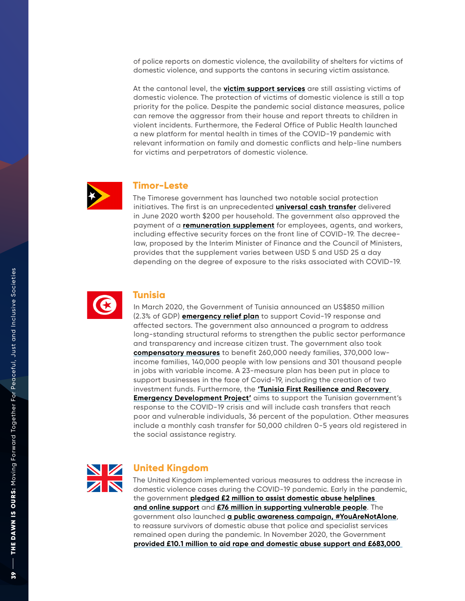of police reports on domestic violence, the availability of shelters for victims of domestic violence, and supports the cantons in securing victim assistance.

At the cantonal level, the **[victim support services](https://www.admin.ch/gov/en/start/documentation/media-releases.msg-id-78545.html)** are still assisting victims of domestic violence. The protection of victims of domestic violence is still a top priority for the police. Despite the pandemic social distance measures, police can remove the aggressor from their house and report threats to children in violent incidents. Furthermore, the Federal Office of Public Health launched a new platform for mental health in times of the COVID-19 pandemic with relevant information on family and domestic conflicts and help-line numbers for victims and perpetrators of domestic violence.



### **Timor-Leste**

The Timorese government has launched two notable social protection initiatives. The first is an unprecedented **[universal cash transfer](https://documents1.worldbank.org/curated/en/281531621024684216/pdf/Social-Protection-and-Jobs-Responses-to-COVID-19-A-Real-Time-Review-of-Country-Measures-May-14-2021.pdf )** delivered in June 2020 worth \$200 per household. The government also approved the payment of a **[remuneration supplement](https://documents1.worldbank.org/curated/en/281531621024684216/pdf/Social-Protection-and-Jobs-Responses-to-COVID-19-A-Real-Time-Review-of-Country-Measures-May-14-2021.pdf )** for employees, agents, and workers, including effective security forces on the front line of COVID-19. The decreelaw, proposed by the Interim Minister of Finance and the Council of Ministers, provides that the supplement varies between USD 5 and USD 25 a day depending on the degree of exposure to the risks associated with COVID-19.



### **Tunisia**

In March 2020, the Government of Tunisia announced an US\$850 million (2.3% of GDP) **[emergency relief plan](https://sustainabledevelopment.un.org/content/documents/27613Compilation_of_main_messages_for_the_2021_VNR.pdf)** to support Covid-19 response and affected sectors. The government also announced a program to address long-standing structural reforms to strengthen the public sector performance and transparency and increase citizen trust. The government also took **[compensatory measures](https://sustainabledevelopment.un.org/content/documents/27613Compilation_of_main_messages_for_the_2021_VNR.pdf)** to benefit 260,000 needy families, 370,000 lowincome families, 140,000 people with low pensions and 301 thousand people in jobs with variable income. A 23-measure plan has been put in place to support businesses in the face of Covid-19, including the creation of two investment funds. Furthermore, the **['Tunisia First Resilience and Recovery](https://documents1.worldbank.org/curated/en/281531621024684216/pdf/Social-Protection-and-Jobs-Responses-to-COVID-19-A-Real-Time-Review-of-Country-Measures-May-14-2021.pdf)  [Emergency Development Project'](https://documents1.worldbank.org/curated/en/281531621024684216/pdf/Social-Protection-and-Jobs-Responses-to-COVID-19-A-Real-Time-Review-of-Country-Measures-May-14-2021.pdf)** aims to support the Tunisian government's response to the COVID-19 crisis and will include cash transfers that reach poor and vulnerable individuals, 36 percent of the population. Other measures include a monthly cash transfer for 50,000 children 0-5 years old registered in the social assistance registry.



### **United Kingdom**

The United Kingdom implemented various measures to address the increase in domestic violence cases during the COVID-19 pandemic. Early in the pandemic, the government **[pledged £2 million to assist domestic abuse helplines](https://commonslibrary.parliament.uk/domestic-abuse-and-covid-19-a-year-into-the-pandemic/)  [and online support](https://commonslibrary.parliament.uk/domestic-abuse-and-covid-19-a-year-into-the-pandemic/)** and **[£76 million in supporting vulnerable people](https://commonslibrary.parliament.uk/domestic-abuse-and-covid-19-a-year-into-the-pandemic/)**. The government also launched **[a public awareness campaign, #YouAreNotAlone](https://commonslibrary.parliament.uk/domestic-abuse-and-covid-19-a-year-into-the-pandemic/)**, to reassure survivors of domestic abuse that police and specialist services remained open during the pandemic. In November 2020, the Government **[provided £10.1 million to aid rape and domestic abuse support and £683,000](https://commonslibrary.parliament.uk/domestic-abuse-and-covid-19-a-year-into-the-pandemic/)**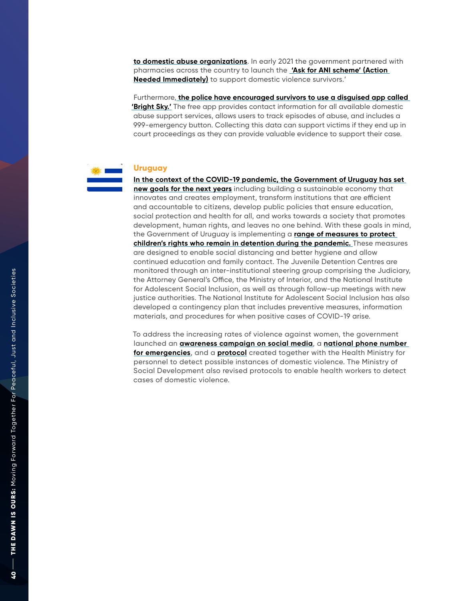**[to domestic abuse organizations](https://commonslibrary.parliament.uk/domestic-abuse-and-covid-19-a-year-into-the-pandemic/)**. In early 2021 the government partnered with pharmacies across the country to launch the **['Ask for ANI scheme' \(Action](https://commonslibrary.parliament.uk/domestic-abuse-and-covid-19-a-year-into-the-pandemic/)  [Needed Immediately\)](https://commonslibrary.parliament.uk/domestic-abuse-and-covid-19-a-year-into-the-pandemic/)** to support domestic violence survivors.'

Furthermore, **[the police have encouraged survivors to use a disguised app called](https://bf889554-6857-4cfe-8d55-8770007b8841.filesusr.com/ugd/6c192f_c5e1d5d3515e443dabde708e9221a3cb.pdf)  ['Bright Sky.'](https://bf889554-6857-4cfe-8d55-8770007b8841.filesusr.com/ugd/6c192f_c5e1d5d3515e443dabde708e9221a3cb.pdf)** The free app provides contact information for all available domestic abuse support services, allows users to track episodes of abuse, and includes a 999-emergency button. Collecting this data can support victims if they end up in court proceedings as they can provide valuable evidence to support their case.

## **Uruguay**

**[In the context of the COVID-19 pandemic, the Government of Uruguay has set](https://sustainabledevelopment.un.org/content/documents/27613Compilation_of_main_messages_for_the_2021_VNR.pdf)  [new goals for the next years](https://sustainabledevelopment.un.org/content/documents/27613Compilation_of_main_messages_for_the_2021_VNR.pdf)** including building a sustainable economy that innovates and creates employment, transform institutions that are efficient and accountable to citizens, develop public policies that ensure education, social protection and health for all, and works towards a society that promotes development, human rights, and leaves no one behind. With these goals in mind, the Government of Uruguay is implementing a **[range of measures to protect](https://www.unicef.org/media/92251/file/Access-to-Justice-COVID-19-Field-Notes-2021.pdf)  [children's rights who remain in detention during the pandemic.](https://www.unicef.org/media/92251/file/Access-to-Justice-COVID-19-Field-Notes-2021.pdf)** These measures are designed to enable social distancing and better hygiene and allow continued education and family contact. The Juvenile Detention Centres are monitored through an inter-institutional steering group comprising the Judiciary, the Attorney General's Office, the Ministry of Interior, and the National Institute for Adolescent Social Inclusion, as well as through follow-up meetings with new justice authorities. The National Institute for Adolescent Social Inclusion has also developed a contingency plan that includes preventive measures, information materials, and procedures for when positive cases of COVID-19 arise.

To address the increasing rates of violence against women, the government launched an **[awareness campaign on social media](https://www.gub.uy/ministerio-desarrollo-social/comunicacion/noticias/gobierno-anuncio-medidas-para-evitar-aumento-casos-violencia-genero-durante)**, a **[national phone number](https://www.gub.uy/ministerio-desarrollo-social/comunicacion/noticias/gobierno-anuncio-medidas-para-evitar-aumento-casos-violencia-genero-durante)  [for emergencies](https://www.gub.uy/ministerio-desarrollo-social/comunicacion/noticias/gobierno-anuncio-medidas-para-evitar-aumento-casos-violencia-genero-durante)**, and a **[protocol](http://protocol)** created together with the Health Ministry for personnel to detect possible instances of domestic violence. The Ministry of Social Development also revised protocols to enable health workers to detect cases of domestic violence.